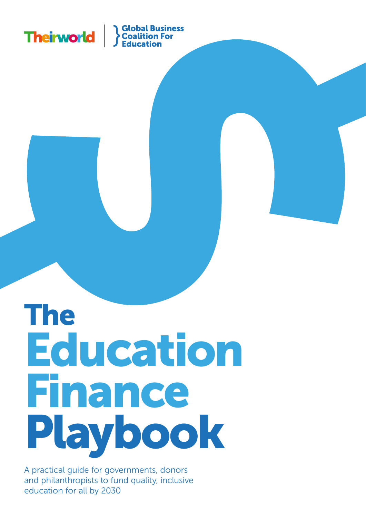

# The Education Finance Playbook

A practical guide for governments, donors and philanthropists to fund quality, inclusive education for all by 2030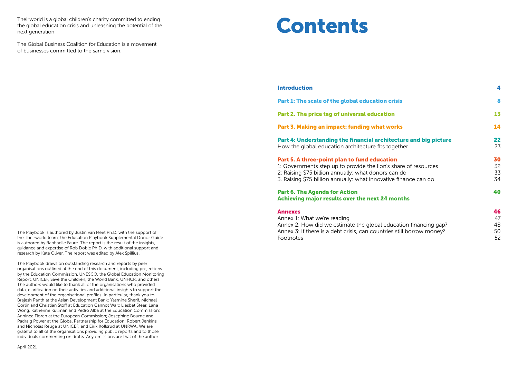The Playbook is authored by Justin van Fleet Ph.D. with the support of the Theirworld team; the Education Playbook Supplemental Donor Guide is authored by Raphaelle Faure. The report is the result of the insights, guidance and expertise of Rob Doble Ph.D. with additional support and research by Kate Oliver. The report was edited by Alex Spillius.

The Playbook draws on outstanding research and reports by peer organisations outlined at the end of this document, including projections by the Education Commission, UNESCO, the Global Education Monitoring Report, UNICEF, Save the Children, the World Bank, UNHCR, and others. The authors would like to thank all of the organisations who provided data, clarification on their activities and additional insights to support the development of the organisational profiles. In particular, thank you to Brajesh Panth at the Asian Development Bank; Yasmine Sherif, Michael Corlin and Christian Stoff at Education Cannot Wait; Liesbet Steer, Lana Wong, Katherine Kullman and Pedro Alba at the Education Commission; Anninca Floren at the European Commission; Josephine Bourne and Padraig Power at the Global Partnership for Education; Robert Jenkins and Nicholas Reuge at UNICEF; and Eirik Kollsrud at UNRWA. We are grateful to all of the organisations providing public reports and to those individuals commenting on drafts. Any omissions are that of the author.

## Part 6. The Agenda for Action Achieving major results over the next 24 m

April 2021

<span id="page-1-0"></span>Theirworld is a global children's charity committed to ending the global education crisis and unleashing the potential of the next generation.

The Global Business Coalition for Education is a movement of businesses committed to the same vision.

## [Introduction](#page-2-0)

Part 1: The scale of the global education criti

[Part 2. The price tag of universal education](#page-6-0)

Part 3. Making an impact: funding what wo

Part 4: Understanding the financial archite How the global education architecture fits to

## [Part 5. A three-point plan to fund education](#page-15-0)

1: Governments step up to provide the lion's

2: Raising \$75 billion annually: what donors can

3. Raising \$75 billion annually: what innovative

### [Annexes](#page-23-0)

[Annex 1: What we're reading](#page-23-0) Annex 2: How did we estimate the global edu Annex 3: If there is a debt crisis, can countries [Footnotes](#page-26-0)

# Contents

4

| risis                                                  | 8                    |
|--------------------------------------------------------|----------------------|
| h                                                      | 13                   |
| orks                                                   | 14                   |
| ecture and big picture<br>gether                       | 22<br>23             |
| Σ'n<br>share of resources<br>an do<br>e finance can do | 30<br>32<br>33<br>34 |
| <b>nonths</b>                                          | 40                   |
| ication financing gap?<br>s still borrow money?        | 46<br>47<br>48<br>50 |

52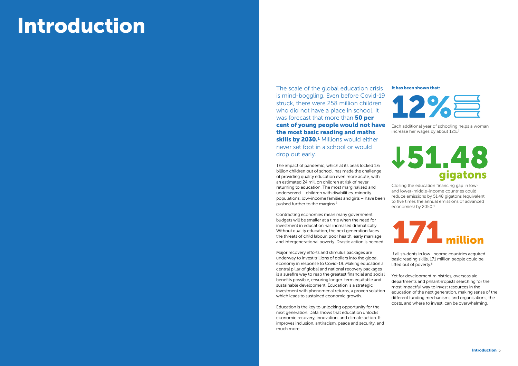The scale of the global education crisis is mind-boggling. Even before Covid-19 struck, there were 258 million children who did not have a place in school. It was forecast that more than 50 per cent of young people would not have the most basic reading and maths skills by 2030.<sup>1</sup> Millions would either never set foot in a school or would drop out early.

The impact of pandemic, which at its peak locked 1.6 billion children out of school, has made the challenge of providing quality education even more acute, with an estimated 24 million children at risk of never returning to education. The most marginalised and underserved – children with disabilities, minority populations, low-income families and girls – have been pushed further to the margins.2

Contracting economies mean many government budgets will be smaller at a time when the need for investment in education has increased dramatically. Without quality education, the next generation faces the threats of child labour, poor health, early marriage and intergenerational poverty. Drastic action is needed.

> If all students in low-income countries acquired basic reading skills, 171 million people could be lifted out of poverty.<sup>5</sup>

Major recovery efforts and stimulus packages are underway to invest trillions of dollars into the global economy in response to Covid-19. Making education a central pillar of global and national recovery packages is a surefire way to reap the greatest financial and social benefits possible, ensuring longer-term equitable and sustainable development. Education is a strategic investment with phenomenal returns, a proven solution which leads to sustained economic growth.

Education is the key to unlocking opportunity for the next generation. Data shows that education unlocks economic recovery, innovation, and climate action. It improves inclusion, antiracism, peace and security, and much more.

# <span id="page-2-0"></span>Introduction

Yet for development ministries, overseas aid departments and philanthropists searching for the most impactful way to invest resources in the education of the next generation, making sense of the different funding mechanisms and organisations, the costs, and where to invest, can be overwhelming.

Each additional year of schooling helps a woman increase her wages by about 12%.3

# 151.48 qigatons



Closing the education financing gap in lowand lower-middle-income countries could reduce emissions by 51.48 gigatons (equivalent to five times the annual emissions of advanced economies) by 2050.4



### It has been shown that: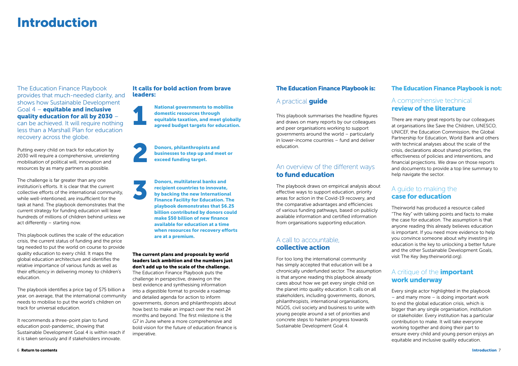The Education Finance Playbook provides that much-needed clarity, and shows how Sustainable Development Goal 4 – equitable and inclusive quality education for all by 2030 – can be achieved. It will require nothing less than a Marshall Plan for education recovery across the globe.

Putting every child on track for education by 2030 will require a comprehensive, unrelenting mobilisation of political will, innovation and resources by as many partners as possible.

The challenge is far greater than any one institution's efforts. It is clear that the current collective efforts of the international community, while well-intentioned, are insufficient for the task at hand. The playbook demonstrates that the current strategy for funding education will leave hundreds of millions of children behind unless we act differently – starting now.

This playbook outlines the scale of the education crisis, the current status of funding and the price tag needed to put the world on course to provide quality education to every child. It maps the global education architecture and identifies the relative importance of various funds as well as their efficiency in delivering money to children's education.

The playbook identifies a price tag of \$75 billion a year, on average, that the international community needs to mobilise to put the world's children on track for universal education.

It recommends a three-point plan to fund education post-pandemic, showing that Sustainable Development Goal 4 is within reach if it is taken seriously and if stakeholders innovate.

National governments to mobilise domestic resources through equitable taxation, and meet globally agreed budget targets for education.

# The Education Finance Playbook is:

# A practical **quide**

This playbook summarises the headline figures and draws on many reports by our colleagues and peer organisations working to support governments around the world – particularly in lower-income countries – fund and deliver education.

# An overview of the different ways to fund education

# A critique of the **important** work underway

The playbook draws on empirical analysis about effective ways to support education, priority areas for action in the Covid-19 recovery, and the comparative advantages and efficiencies of various funding pathways, based on publicly available information and certified information from organisations supporting education.

# A call to accountable, collective action

For too long the international community has simply accepted that education will be a chronically underfunded sector. The assumption is that anyone reading this playbook already cares about how we get every single child on the planet into quality education. It calls on all stakeholders, including governments, donors, philanthropists, international organisations, NGOS, civil society and business to unite with young people around a set of priorities and concrete steps to hasten progress towards Sustainable Development Goal 4.

1

3

2 Donors, philanthropists and businesses to step up and meet or exceed funding target.

> Donors, multilateral banks and recipient countries to innovate, by backing the new International Finance Facility for Education. The playbook demonstrates that \$6.25 billion contributed by donors could make \$50 billion of new finance available for education at a time when resources for recovery efforts are at a premium.

# The Education Finance Playbook is not:

# A comprehensive technical review of the literature

There are many great reports by our colleagues at organisations like Save the Children, UNESCO, UNICEF, the Education Commission, the Global Partnership for Education, World Bank and others with technical analyses about the scale of the crisis, declarations about shared priorities, the effectiveness of policies and interventions, and financial projections. We draw on those reports and documents to provide a top line summary to help navigate the sector.

# A guide to making the case for education

Theirworld has produced a resource called "The Key" with talking points and facts to make the case for education. The assumption is that anyone reading this already believes education is important. If you need more evidence to help you convince someone about why investing in education is the key to unlocking a better future and the other Sustainable Development Goals, visit The Key (key.theirworld.org).

Every single actor highlighted in the playbook – and many more – is doing important work to end the global education crisis, which is bigger than any single organisation, institution or stakeholder. Every institution has a particular contribution to make. It will take everyone working together and doing their part to ensure every child and young person enjoys an equitable and inclusive quality education.

The current plans and proposals by world leaders lack ambition and the numbers just don't add up to the scale of the challenge.

The Education Finance Playbook puts the challenge in perspective, drawing on the best evidence and synthesising information into a digestible format to provide a roadmap and detailed agenda for action to inform governments, donors and philanthropists about how best to make an impact over the next 24 months and beyond. The first milestone is the G7 in June where a more comprehensive and bold vision for the future of education finance is imperative.

# Introduction

# It calls for bold action from brave leaders: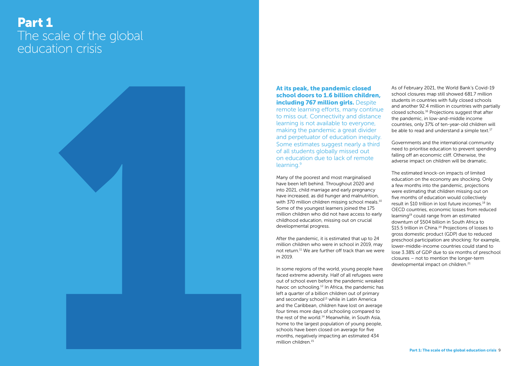# <span id="page-4-0"></span>Part 1 The scale of the global education crisis



# At its peak, the pandemic closed school doors to 1.6 billion children, **including 767 million girls. Despite** remote learning efforts, many continue to miss out. Connectivity and distance learning is not available to everyone, making the pandemic a great divider and perpetuator of education inequity. Some estimates suggest nearly a third of all students globally missed out on education due to lack of remote learning.9

Many of the poorest and most marginalised have been left behind. Throughout 2020 and into 2021, child marriage and early pregnancy have increased, as did hunger and malnutrition, with 370 million children missing school meals.<sup>10</sup> Some of the youngest learners joined the 175 million children who did not have access to early childhood education, missing out on crucial developmental progress.

As of February 2021, the World Bank's Covid-19 school closures map still showed 681.7 million students in countries with fully closed schools and another 92.4 million in countries with partially closed schools.16 Projections suggest that after the pandemic, in low-and-middle income countries, only 37% of ten-year-old children will be able to read and understand a simple text.<sup>17</sup>

After the pandemic, it is estimated that up to 24 million children who were in school in 2019, may not return.11 We are further off track than we were in 2019.

The estimated knock-on impacts of limited education on the economy are shocking. Only a few months into the pandemic, projections were estimating that children missing out on five months of education would collectively result in \$10 trillion in lost future incomes.18 In OECD countries, economic losses from reduced learning19 could range from an estimated downturn of \$504 billion in South Africa to \$15.5 trillion in China.<sup>20</sup> Projections of losses to gross domestic product (GDP) due to reduced preschool participation are shocking: for example, lower-middle-income countries could stand to lose 3.38% of GDP due to six months of preschool closures – not to mention the longer-term developmental impact on children.<sup>21</sup>

In some regions of the world, young people have faced extreme adversity. Half of all refugees were out of school even before the pandemic wreaked havoc on schooling.<sup>12</sup> In Africa, the pandemic has left a quarter of a billion children out of primary and secondary school $13$  while in Latin America and the Caribbean, children have lost on average four times more days of schooling compared to the rest of the world.<sup>14</sup> Meanwhile, in South Asia, home to the largest population of young people, schools have been closed on average for five months, negatively impacting an estimated 434 million children.15

Governments and the international community need to prioritise education to prevent spending falling off an economic cliff. Otherwise, the adverse impact on children will be dramatic.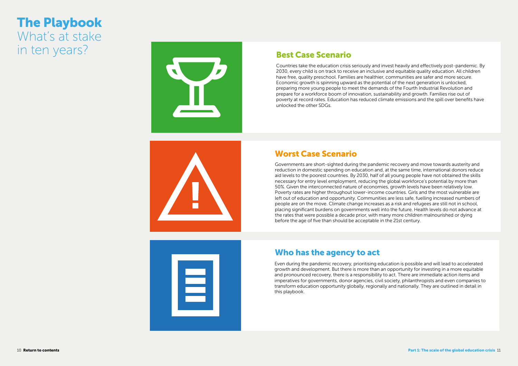# Best Case Scenario

# Worst Case Scenario

# Who has the agency to act

Countries take the education crisis seriously and invest heavily and effectively post-pandemic. By 2030, every child is on track to receive an inclusive and equitable quality education. All children have free, quality preschool. Families are healthier, communities are safer and more secure. Economic growth is spinning upward as the potential of the next generation is unlocked, preparing more young people to meet the demands of the Fourth Industrial Revolution and prepare for a workforce boom of innovation, sustainability and growth. Families rise out of poverty at record rates. Education has reduced climate emissions and the spill over benefits have unlocked the other SDGs.

Governments are short-sighted during the pandemic recovery and move towards austerity and reduction in domestic spending on education and, at the same time, international donors reduce aid levels to the poorest countries. By 2030, half of all young people have not obtained the skills necessary for entry level employment, reducing the global workforce's potential by more than 50%. Given the interconnected nature of economies, growth levels have been relatively low. Poverty rates are higher throughout lower-income countries. Girls and the most vulnerable are left out of education and opportunity. Communities are less safe, fuelling increased numbers of people are on the move. Climate change increases as a risk and refugees are still not in school, placing significant burdens on governments well into the future. Health levels do not advance at the rates that were possible a decade prior, with many more children malnourished or dying before the age of five than should be acceptable in the 21st century.

Even during the pandemic recovery, prioritising education is possible and will lead to accelerated growth and development. But there is more than an opportunity for investing in a more equitable and pronounced recovery, there is a responsibility to act. There are immediate action items and imperatives for governments, donor agencies, civil society, philanthropists and even companies to transform education opportunity globally, regionally and nationally. They are outlined in detail in this playbook.

# The Playbook What's at stake in ten years?



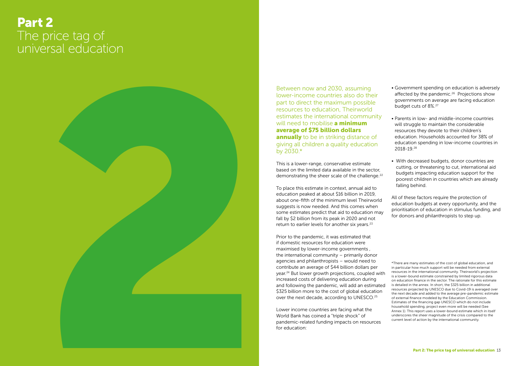# <span id="page-6-0"></span>Part 2 The price tag of universal education



This is a lower-range, conservative estimate based on the limited data available in the sector, demonstrating the sheer scale of the challenge.<sup>22</sup>

Between now and 2030, assuming lower-income countries also do their part to direct the maximum possible resources to education, Theirworld estimates the international community will need to mobilise **a minimum** average of \$75 billion dollars **annually** to be in striking distance of giving all children a quality education by 2030.\*

To place this estimate in context, annual aid to education peaked at about \$16 billion in 2019, about one-fifth of the minimum level Theirworld suggests is now needed. And this comes when some estimates predict that aid to education may fall by \$2 billion from its peak in 2020 and not return to earlier levels for another six years.<sup>23</sup>

Prior to the pandemic, it was estimated that if domestic resources for education were maximised by lower-income governments , the international community – primarily donor agencies and philanthropists – would need to contribute an average of \$44 billion dollars per year.24 But lower growth projections, coupled with increased costs of delivering education during and following the pandemic, will add an estimated \$325 billion more to the cost of global education over the next decade, according to UNESCO.25

Lower income countries are facing what the World Bank has coined a "triple shock" of pandemic-related funding impacts on resources for education:

- Government spending on education is adversely affected by the pandemic.<sup>26</sup> Projections show governments on average are facing education budget cuts of 8%.27
- Parents in low- and middle-income countries will struggle to maintain the considerable resources they devote to their children's education. Households accounted for 38% of education spending in low-income countries in 2018-19.28
- With decreased budgets, donor countries are cutting, or threatening to cut, international aid budgets impacting education support for the poorest children in countries which are already falling behind.

All of these factors require the protection of education budgets at every opportunity, and the prioritisation of education in stimulus funding, and for donors and philanthropists to step up.

\*There are many estimates of the cost of global education, and in particular how much support will be needed from external resources in the international community. Theirworld's projection is a lower-bound estimate constrained by limited rigorous data on education finance in the sector. The rationale for this estimate is detailed in the annex. In short, the \$325 billion in additional resources projected by UNESCO due to Covid-19 is averaged over the next decade and added to the average pre-pandemic estimate of external finance modeled by the Education Commission. Estimates of the financing gap UNESCO which do not include household spending, project even more will be needed (See Annex 1). This report uses a lower-bound estimate which in itself underscores the sheer magnitude of the crisis compared to the current level of action by the international community.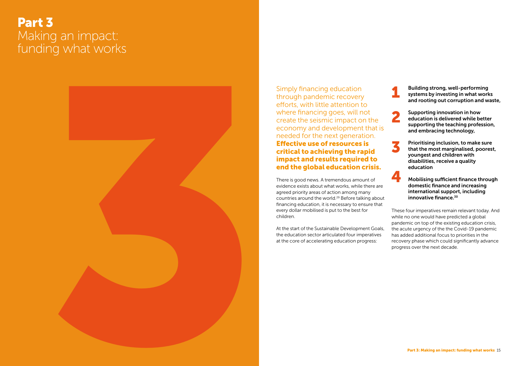# <span id="page-7-0"></span>Part 3 Making an impact: funding what works



Simply financing education through pandemic recovery efforts, with little attention to where financing goes, will not create the seismic impact on the economy and development that is needed for the next generation. Effective use of resources is critical to achieving the rapid impact and results required to end the global education crisis.

There is good news. A tremendous amount of evidence exists about what works, while there are agreed priority areas of action among many countries around the world.29 Before talking about financing education, it is necessary to ensure that every dollar mobilised is put to the best for children.

At the start of the Sustainable Development Goals, the education sector articulated four imperatives at the core of accelerating education progress:



These four imperatives remain relevant today. And while no one would have predicted a global pandemic on top of the existing education crisis, the acute urgency of the the Covid-19 pandemic has added additional focus to priorities in the recovery phase which could significantly advance progress over the next decade.

innovative finance.<sup>30</sup>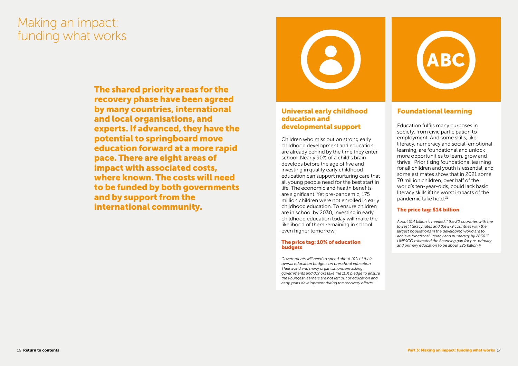# Universal early childhood education and developmental support

### The price tag: 10% of education **budgets**

Children who miss out on strong early childhood development and education are already behind by the time they enter school. Nearly 90% of a child's brain develops before the age of five and investing in quality early childhood education can support nurturing care that all young people need for the best start in life. The economic and health benefits are significant. Yet pre-pandemic, 175 million children were not enrolled in early childhood education. To ensure children are in school by 2030, investing in early childhood education today will make the likelihood of them remaining in school even higher tomorrow.

*Governments will need to spend about 10% of their overall education budgets on preschool education. Theirworld and many organisations are asking governments and donors take the 10% pledge to ensure the youngest learners are not left out of education and early years development during the recovery efforts.*



# Foundational learning

Education fulfils many purposes in society, from civic participation to employment. And some skills, like literacy, numeracy and social-emotional learning, are foundational and unlock more opportunities to learn, grow and thrive. Prioritising foundational learning for all children and youth is essential, and some estimates show that in 2021 some 70 million children, over half of the world's ten-year-olds, could lack basic literacy skills if the worst impacts of the pandemic take hold.31

# The price tag: \$14 billion

*About \$14 billion is needed if the 20 countries with the lowest literacy rates and the E-9 countries with the largest populations in the developing world are to achieve functional literacy and numeracy by 2030.32 UNESCO estimated the financing gap for pre-primary and primary education to be about \$25 billion.33* 

The shared priority areas for the recovery phase have been agreed by many countries, international and local organisations, and experts. If advanced, they have the potential to springboard move education forward at a more rapid pace. There are eight areas of impact with associated costs, where known. The costs will need to be funded by both governments and by support from the international community.



# Making an impact: funding what works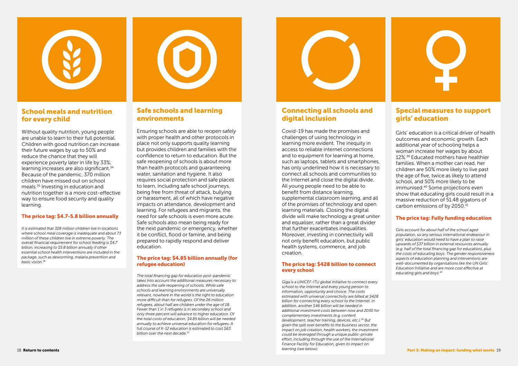# Safe schools and learning environments

Ensuring schools are able to reopen safely with proper health and other protocols in place not only supports quality learning but provides children and families with the confidence to return to education. But the safe reopening of schools is about more than health protocols and guaranteeing water, sanitation and hygiene. It also requires social protection and safe places to learn, including safe school journeys, being free from threat of attack, bullying or harassment, all of which have negative impacts on attendance, development and learning. For refugees and migrants, the need for safe schools is even more acute. Safe schools also mean being ready for the next pandemic or emergency, whether it be conflict, flood or famine, and being prepared to rapidly respond and deliver education.

## The price tag: \$4.85 billion annually (for refugee education)

*The total financing gap for education post-pandemic takes into account the additional measures necessary to address the safe reopening of schools. While safe schools and learning environments are universally relevant, nowhere in the world is the right to education more difficult than for refugees. Of the 26 million refugees, about half are children under the age of 18. Fewer than 1 in 3 refugees is in secondary school and only three percent will advance to higher education. Of the total costs of education, \$4.85 billion will be needed annually to achieve universal education for refugees. A full course of K-12 education is estimated to cost \$63 billion over the next decade.37*



# Connecting all schools and digital inclusion

Covid-19 has made the promises and challenges of using technology in learning more evident. The inequity in access to reliable internet connections and to equipment for learning at home, such as laptops, tablets and smartphones, has only underlined how it is necessary to connect all schools and communities to the Internet and close the digital divide. All young people need to be able to benefit from distance learning, supplemental classroom learning, and all of the promises of technology and open learning materials. Closing the digital divide will make technology a great uniter and equaliser, rather than a great divider that further exacerbates inequalities. Moreover, investing in connectivity will not only benefit education, but public health systems, commerce, and job creation.

## The price tag: \$428 billion to connect every school

*Giga is a UNICEF-ITU global initiative to connect every school to the Internet and every young person to information, opportunity and choice. The costs estimated with universal connectivity are billed at \$428 billion for connecting every school to the Internet. In addition, another \$46 billion will be needed in additional investment costs between now and 2030 for complementary investments (e.g. content development, teacher training, devices, etc.).38 But given the spill over benefits to the business sector, the impact on job creation, health workers, the investment could be leveraged through a unique public-private effort, including through the use of the International Finance Facility for Education, given its impact on learning (see below).*



# Special measures to support girls' education

Girls' education is a critical driver of health outcomes and economic growth. Each additional year of schooling helps a woman increase her wages by about 12%.39 Educated mothers have healthier families. When a mother can read, her children are 50% more likely to live past the age of five, twice as likely to attend school, and 50% more likely to be immunised.40 Some projections even show that educating girls could result in a massive reduction of 51.48 gigatons of carbon emissions of by 2050.41

# The price tag: Fully funding education

*Girls account for about half of the school aged population, so any serious international endeavour in girls' education would need to have a plan to raise upwards of \$37 billion in external resources annually (e.g. half of the total financing gap for education), plus the costs of educating boys. The gender responsiveness aspects of education planning and interventions are well-documented by organisations like the UN Girls' Education Initiative and are more cost effective at educating girls and boys.42*



# School meals and nutrition for every child

Without quality nutrition, young people are unable to learn to their full potential. Children with good nutrition can increase their future wages by up to 50% and reduce the chance that they will experience poverty later in life by 33%; learning increases are also significant.<sup>34</sup> Because of the pandemic, 370 million children have missed out on school meals.35 Investing in education and nutrition together is a more cost-effective way to ensure food security and quality learning.

# The price tag: \$4.7-5.8 billion annually

*It is estimated that 328 million children live in locations where school meal coverage is inadequate and about 73 million of these children live in extreme poverty. The overall financial requirement for school feeding is \$4.7 billion, increasing to \$5.8 billion annually if other essential school health interventions are included in the package, such as deworming, malaria prevention and basic vision.36*

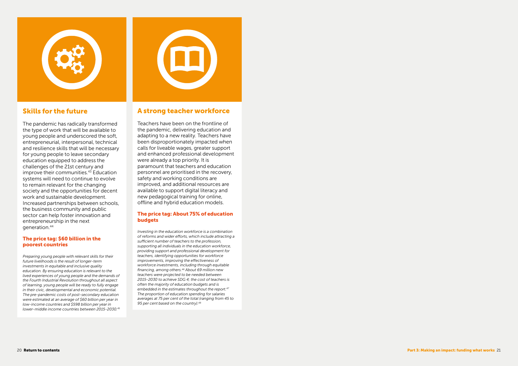The pandemic has radically transformed the type of work that will be available to young people and underscored the soft, entrepreneurial, interpersonal, technical and resilience skills that will be necessary for young people to leave secondary education equipped to address the challenges of the 21st century and improve their communities.<sup>43</sup> Education systems will need to continue to evolve to remain relevant for the changing society and the opportunities for decent work and sustainable development. Increased partnerships between schools, the business community and public sector can help foster innovation and entrepreneurship in the next generation.<sup>44</sup>



# Skills for the future

# The price tag: \$60 billion in the poorest countries

*Preparing young people with relevant skills for their future livelihoods is the result of longer-term investments in equitable and inclusive quality education. By ensuring education is relevant to the lived experiences of young people and the demands of the Fourth Industrial Revolution throughout all aspect of learning, young people will be ready to fully engage in their civic, developmental and economic potential. The pre-pandemic costs of post-secondary education were estimated at an average of \$60 billion per year in low-income countries and \$598 billion per year in lower-middle income countries between 2015-2030.45*



# A strong teacher workforce

Teachers have been on the frontline of the pandemic, delivering education and adapting to a new reality. Teachers have been disproportionately impacted when calls for liveable wages, greater support and enhanced professional development were already a top priority. It is paramount that teachers and education personnel are prioritised in the recovery, safety and working conditions are improved, and additional resources are available to support digital literacy and new pedagogical training for online, offline and hybrid education models.

### The price tag: About 75% of education budgets

*Investing in the education workforce is a combination of reforms and wider efforts, which include attracting a sufficient number of teachers to the profession, supporting all individuals in the education workforce, providing support and professional development for teachers, identifying opportunities for workforce improvements, improving the effectiveness of workforce investments, including through equitable financing, among others.46 About 69 million new teachers were projected to be needed between 2015-2030 to achieve SDG 4; the cost of teachers is often the majority of education budgets and is embedded in the estimates throughout the report.47 The proportion of education spending for salaries averages at 75 per cent of the total (ranging from 45 to 95 per cent based on the country).48*

20 [Return to contents](#page-1-0) Part 3: Making an impact: funding what works 21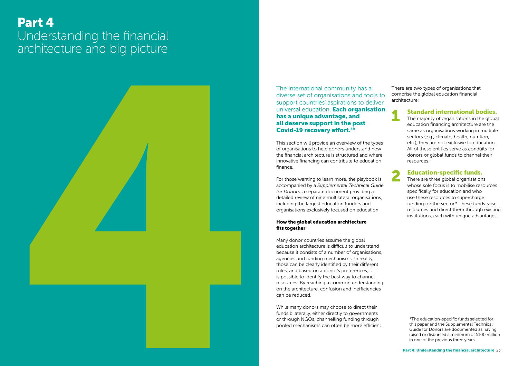The international community has a diverse set of organisations and tools to support countries' aspirations to deliver universal education. Each organisation has a unique advantage, and all deserve support in the post Covid-19 recovery effort.<sup>49</sup>

# <span id="page-11-0"></span>Part 4 Understanding the financial architecture and big picture



This section will provide an overview of the types of organisations to help donors understand how the financial architecture is structured and where innovative financing can contribute to education finance.

For those wanting to learn more, the playbook is accompanied by a *Supplemental Technical Guide for Donors,* a separate document providing a detailed review of nine multilateral organisations, including the largest education funders and organisations exclusively focused on education.

### How the global education architecture fits together

There are three global organisations whose sole focus is to mobilise resources specifically for education and who use these resources to supercharge funding for the sector.\* These funds raise resources and direct them through existing institutions, each with unique advantages.

Many donor countries assume the global education architecture is difficult to understand because it consists of a number of organisations, agencies and funding mechanisms. In reality, those can be clearly identified by their different roles, and based on a donor's preferences, it is possible to identify the best way to channel resources. By reaching a common understanding on the architecture, confusion and inefficiencies can be reduced.

While many donors may choose to direct their funds bilaterally, either directly to governments or through NGOs, channelling funding through pooled mechanisms can often be more efficient. There are two types of organisations that comprise the global education financial architecture:

# Standard international bodies.

The majority of organisations in the global education financing architecture are the same as organisations working in multiple sectors (e.g., climate, health, nutrition, etc.); they are not exclusive to education. All of these entities serve as conduits for donors or global funds to channel their resources.

# Education-specific funds.





\*The education-specific funds selected for this paper and the Supplemental Technical Guide for Donors are documented as having raised or disbursed a minimum of \$100 million in one of the previous three years.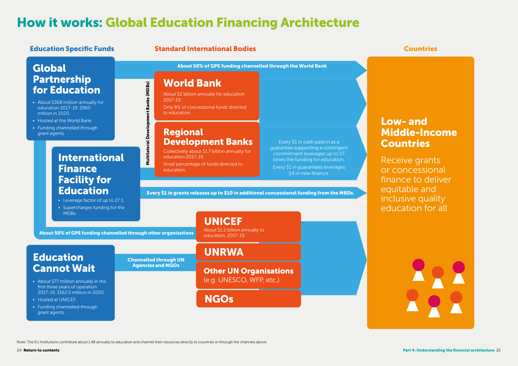# Low- and Middle-Income Countries

Receive grants or concessional finance to deliver equitable and inclusive quality education for all

24 **Return to contents** 

Every \$1 in guarantees leverages \$4 in new finance.

Every \$1 in grants releases up to \$10 in additional concessional funding from the MBDs.

**UNICEF** 

About \$1.2 billion annually to<br>education, 2017-19.

Every \$1 in cash paid in as a guarantee supporting a contingent commitment leverages up to 27 times the funding for education.

# Note: The EU Institutions contribute about 1892 states above. The EU Institutions contribute about 11 where the channel the channel the channel the channel the channel the channel the channel of the channel of the channel International Finance Facility for Education

# **Global** Partnership for Education

# Regional Development Banks

Collectively about \$1.7 billion annually for education 2017-19.

Small percentage of funds directed to education.

# World Bank

About \$2 billion annually for education 2017-19.

Only 8% of concessional funds directed to education.

# How it works: Global Education Financing Architecture

About 50% of GPE funding channelled through the World Bank

Other UN Organisations (e.g. UNESCO, WFP, etc.)

# **NGOs**

# UNRWA

# Channelled through UN Agencies and NGOs

- Leverage factor of up to 27:1.
- Supercharges funding for the MDBs.

About 50% of GPE funding channelled through other organisations

# **Education Specific Funds Standard International Bodies Countries Countries Countries**

- About \$368 million annually for education 2017-19. \$960 million in 2020.
- Hosted at the World Bank.
- Funding channelled through grant agents.

# Education Cannot Wait

- About \$77 million annually in the first three years of operation 2017-19. \$162.5 million in 2020.
- Hosted at UNICEF.
- Funding channelled through grant agents.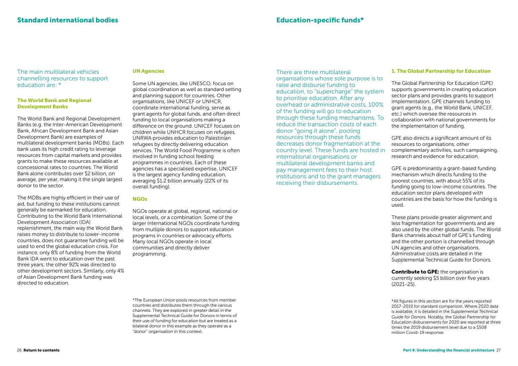# The World Bank and Regional Development Banks

The World Bank and Regional Development Banks (e.g. the Inter-American Development Bank, African Development Bank and Asian Development Bank) are examples of multilateral development banks (MDBs). Each bank uses its high credit rating to leverage resources from capital markets and provides grants to make these resources available at concessional rates to countries. The World Bank alone contributes over \$2 billion, on average, per year, making it the single largest donor to the sector.

The MDBs are highly efficient in their use of aid, but funding to these institutions cannot generally be earmarked for education. Contributing to the World Bank International Development Association (IDA) replenishment, the main way the World Bank raises money to distribute to lower-income countries, does not guarantee funding will be used to end the global education crisis. For instance, only 8% of funding from the World Bank IDA went to education over the past three years; the other 92% was directed to other development sectors. Similarly, only 4% of Asian Development Bank funding was directed to education.

### UN Agencies

Some UN agencies, like UNESCO, focus on global coordination as well as standard setting and planning support for countries. Other organisations, like UNICEF or UNHCR, coordinate international funding, serve as grant agents for global funds, and often direct funding to local organisations making a difference on the ground. UNICEF focuses on children while UNHCR focuses on refugees. UNRWA provides education to Palestinian refugees by directly delivering education services. The World Food Programme is often involved in funding school feeding programmes in countries. Each of these agencies has a specialised expertise. UNICEF is the largest agency funding education, averaging \$1.2 billion annually (22% of its overall funding).

### **NGOs**

**Contribute to GPE:** the organisation is currently seeking \$5 billion over five years (2021-25).

NGOs operate at global, regional, national or local levels, or a combination. Some of the larger international NGOs coordinate funding from multiple donors to support education programs in countries or advocacy efforts. Many local NGOs operate in local communities and directly deliver programming.

\*The European Union pools resources from member countries and distributes them through the various channels. They are explored in greater detail in the Supplemental Technical Guide for Donors in terms of their use of funding for education but are treated as a bilateral donor in this example as they operate as a "donor" organisation in this context.

## 1. The Global Partnership for Education

These plans provide greater alignment and less fragmentation for governments and are also used by the other global funds. The World Bank channels about half of GPE's funding and the other portion is channelled through UN agencies and other organisations. Administrative costs are detailed in the Supplemental Technical Guide for Donors.

The Global Partnership for Education (GPE) supports governments in creating education sector plans and provides grants to support implementation. GPE channels funding to grant agents (e.g., the World Bank, UNICEF, etc.) which oversee the resources in collaboration with national governments for the implementation of funding. GPE also directs a significant amount of its resources to organisations, other complementary activities, such campaigning, research and evidence for education. GPE is predominantly a grant-based funding mechanism which directs funding to the poorest countries, with about 55% of its funding going to low-income countries. The education sector plans developed with countries are the basis for how the funding is used. There are three multilateral organisations whose sole purpose is to raise and disburse funding to education, to "supercharge" the system to prioritise education. After any overhead or administrative costs, 100% of the funding will go to education through these funding mechanisms. To reduce the transaction costs of each donor "going it alone", pooling resources through these funds decreases donor fragmentation at the country level. These funds are hosted in international organisations or multilateral development banks and pay management fees to their host institutions and to the grant managers receiving their disbursements.

\*All figures in this section are for the years reported 2017-2019 for standard comparison. Where 2020 data is available, it is detailed in the *Supplemental Technical Guide for Donors*. Notably, the Global Partnership for Education disbursements for 2020 are reported at three times the 2019 disbursement level due to a \$508 million Covid-19 response.

The main multilateral vehicles channelling resources to support education are: \*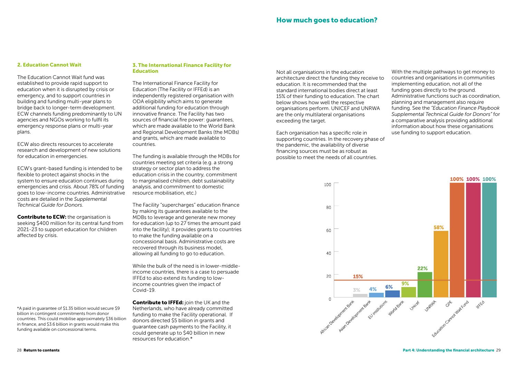# 2. Education Cannot Wait

The Education Cannot Wait fund was established to provide rapid support to education when it is disrupted by crisis or emergency, and to support countries in building and funding multi-year plans to bridge back to longer-term development. ECW channels funding predominantly to UN agencies and NGOs working to fulfil its emergency response plans or multi-year plans.

**Contribute to ECW:** the organisation is seeking \$400 million for its central fund from 2021-23 to support education for children affected by crisis.

ECW also directs resources to accelerate research and development of new solutions for education in emergencies.

ECW's grant-based funding is intended to be flexible to protect against shocks in the system to ensure education continues during emergencies and crisis. About 78% of funding goes to low-income countries. Administrative costs are detailed in the *Supplemental Technical Guide for Donors*.

# 3. The International Finance Facility for Education

The International Finance Facility for Education (The Facility or IFFEd) is an independently registered organisation with ODA eligibility which aims to generate additional funding for education through innovative finance. The Facility has two sources of financial fire power: guarantees, which are made available to the World Bank and Regional Development Banks (the MDBs) and grants, which are made available to countries.

**Contribute to IFFEd:** join the UK and the Netherlands, who have already committed funding to make the Facility operational. If donors directed \$5 billion in grants and guarantee cash payments to the Facility, it could generate up to \$40 billion in new resources for education.\*

The funding is available through the MDBs for countries meeting set criteria (e.g. a strong strategy or sector plan to address the education crisis in the country, commitment to marginalised children, debt sustainability analysis, and commitment to domestic resource mobilisation, etc.)

The Facility "supercharges" education finance by making its guarantees available to the MDBs to leverage and generate new money for education (up to 27 times the amount paid into the facility); it provides grants to countries to make the funding available on a concessional basis. Administrative costs are recovered through its business model, allowing all funding to go to education.

While the bulk of the need is in lower-middleincome countries, there is a case to persuade IFFEd to also extend its funding to lowincome countries given the impact of Covid-19.

\*A paid in guarantee of \$1.35 billion would secure \$9 billion in contingent commitments from donor countries. This could mobilise approximately \$36 billion in finance, and \$3.6 billion in grants would make this funding available on concessional terms.

Not all organisations in the education architecture direct the funding they receive to education. It is recommended that the standard international bodies direct at least 15% of their funding to education. The chart below shows how well the respective organisations perform. UNICEF and UNRWA are the only multilateral organisations exceeding the target.

Each organisation has a specific role in supporting countries. In the recovery phase of the pandemic, the availability of diverse financing sources must be as robust as possible to meet the needs of all countries.



With the multiple pathways to get money to countries and organisations in communities implementing education, not all of the funding goes directly to the ground. Administrative functions such as coordination, planning and management also require funding. See the *"Education Finance Playbook Supplemental Technical Guide for Donors"* for a comparative analysis providing additional information about how these organisations use funding to support education.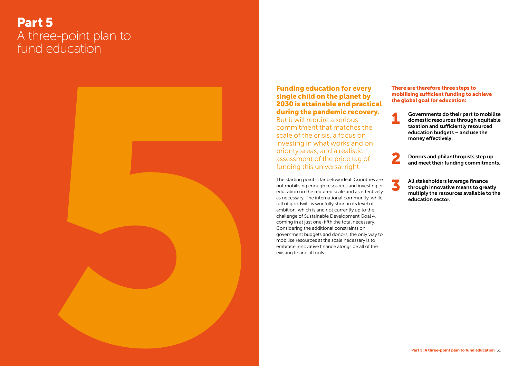# <span id="page-15-0"></span>Part 5 A three-point plan to fund education



# Funding education for every single child on the planet by 2030 is attainable and practical during the pandemic recovery.

But it will require a serious commitment that matches the scale of the crisis, a focus on investing in what works and on priority areas, and a realistic assessment of the price tag of funding this universal right.

The starting point is far below ideal. Countries are not mobilising enough resources and investing in education on the required scale and as effectively as necessary. The international community, while full of goodwill, is woefully short in its level of ambition, which is and not currently up to the challenge of Sustainable Development Goal 4, coming in at just one-fifth the total necessary. Considering the additional constraints on government budgets and donors, the only way to mobilise resources at the scale necessary is to embrace innovative finance alongside all of the existing financial tools.

Governments do their part to mobilise domestic resources through equitable taxation and sufficiently resourced education budgets – and use the money effectively.

Donors and philanthropists step up and meet their funding commitments.

All stakeholders leverage finance through innovative means to greatly multiply the resources available to the education sector.





3

### There are therefore three steps to mobilising sufficient funding to achieve the global goal for education: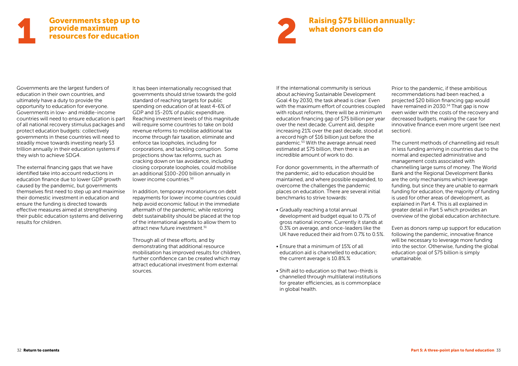# <span id="page-16-0"></span>Governments step up to provide maximum resources for education **1** Governments step up to<br>
provide maximum<br>
resources for education<br> **1** Provide maximum<br> **1** Provide maximum<br> **1** Provide maximum<br> **1** Provide maximum<br> **1** Provide maximum<br> **1** Provide maximum<br> **1** Provide maximum<br> **1** P

Governments are the largest funders of education in their own countries, and ultimately have a duty to provide the opportunity to education for everyone. Governments in low- and middle-income countries will need to ensure education is part of all national recovery stimulus packages and protect education budgets: collectively governments in these countries will need to steadily move towards investing nearly \$3 trillion annually in their education systems if they wish to achieve SDG4.

It has been internationally recognised that governments should strive towards the gold standard of reaching targets for public spending on education of at least 4-6% of GDP and 15-20% of public expenditure. Reaching investment levels of this magnitude will require some countries to take on bold revenue reforms to mobilise additional tax income through fair taxation, eliminate and enforce tax loopholes, including for corporations, and tackling corruption. Some projections show tax reforms, such as cracking down on tax avoidance, including closing corporate loopholes, could mobilise an additional \$100-200 billion annually in lower income countries.<sup>50</sup>

The external financing gaps that we have identified take into account reductions in education finance due to lower GDP growth caused by the pandemic, but governments themselves first need to step up and maximise their domestic investment in education and ensure the funding is directed towards effective measures aimed at strengthening their public education systems and delivering results for children.

In addition, temporary moratoriums on debt repayments for lower income countries could help avoid economic fallout in the immediate aftermath of the pandemic, while restoring debt sustainability should be placed at the top of the international agenda to allow them to attract new future investment.<sup>51</sup>

Through all of these efforts, and by demonstrating that additional resource mobilisation has improved results for children, further confidence can be created which may attract educational investment from external sources.

For donor governments, in the aftermath of the pandemic, aid to education should be maintained, and where possible expanded, to overcome the challenges the pandemic places on education. There are several initial benchmarks to strive towards:

If the international community is serious about achieving Sustainable Development Goal 4 by 2030, the task ahead is clear. Even with the maximum effort of countries coupled with robust reforms, there will be a minimum education financing gap of \$75 billion per year over the next decade. Current aid, despite increasing 21% over the past decade, stood at a record high of \$16 billion just before the pandemic.53 With the average annual need estimated at \$75 billion, then there is an incredible amount of work to do. Prior to the pandemic, if these ambitious recommendations had been reached, a projected \$20 billion financing gap would have remained in 2030.<sup>54</sup> That gap is now even wider with the costs of the recovery and decreased budgets, making the case for innovative finance even more urgent (see next section). The current methods of channelling aid result in less funding arriving in countries due to the normal and expected administrative and

- Gradually reaching a total annual development aid budget equal to 0.7% of gross national income. Currently it stands at 0.3% on average, and once-leaders like the UK have reduced their aid from 0.7% to 0.5%.
- Ensure that a minimum of 15% of all education aid is channelled to education; the current average is 10.8%.%
- Shift aid to education so that two-thirds is channelled through multilateral institutions for greater efficiencies, as is commonplace in global health.



management costs associated with channelling large sums of money. The World Bank and the Regional Development Banks are the only mechanisms which leverage funding, but since they are unable to earmark funding for education, the majority of funding is used for other areas of development, as explained in Part 4. This is all explained in greater detail in Part 5 which provides an overview of the global education architecture.

Even as donors ramp up support for education following the pandemic, innovative finance will be necessary to leverage more funding into the sector. Otherwise, funding the global education goal of \$75 billion is simply unattainable.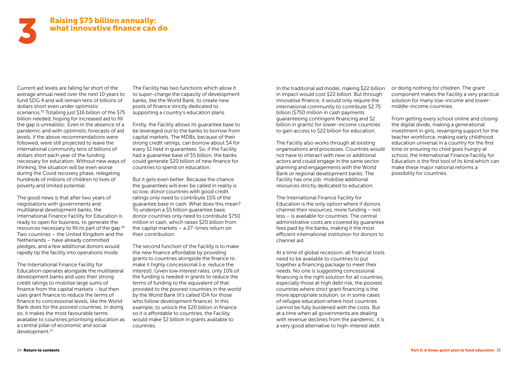# Raising \$75 billion annually: what innovative finance can do

Current aid levels are falling far short of the average annual need over the next 10 years to fund SDG 4 and will remain tens of billions of dollars short even under optimistic scenarios.<sup>55</sup> Totalling just \$16 billion of the \$75 billion needed, hoping for increased aid to fill the gap is unrealistic. Even in the absence of a pandemic and with optimistic forecasts of aid levels, if the above recommendations were followed, were still projected to leave the international community tens of billions of dollars short each year of the funding necessary for education. Without new ways of thinking, the situation will be even worse during the Covid recovery phase, relegating hundreds of millions of children to lives of poverty and limited potential.

The good news is that after two years of negotiations with governments and multilateral development banks, the International Finance Facility for Education is ready to open for business, to generate the resources necessary to fill its part of the gap.56 Two countries – the United Kingdom and the Netherlands – have already committed pledges, and a few additional donors would rapidly tip the facility into operations mode.

The International Finance Facility for Education operates alongside the multilateral development banks and uses their strong credit ratings to mobilise large sums of finance from the capital markets – but then uses grant finance to reduce the terms of finance to concessional levels, like the World Bank does for the poorest countries. In doing so, it makes the most favourable terms available to countries prioritising education as a central pillar of economic and social development.57

The Facility has two functions which allow it to super-charge the capacity of development banks, like the World Bank, to create new pools of finance strictly dedicated to supporting a country's education plans.

Firstly, the Facility allows its guarantee base to be leveraged out to the banks to borrow from capital markets. The MDBs, because of their strong credit ratings, can borrow about \$4 for every \$1 held in guarantees. So, if the Facility had a guarantee base of \$5 billion, the banks could generate \$20 billion of new finance for countries to spend on education.

But it gets even better. Because the chance the guarantees will ever be called in reality is so low, donor countries with good credit ratings only need to contribute 15% of the guarantee base in cash. What does this mean? To underpin a \$5 billion guarantee base, donor countries only need to contribute \$750 million in cash, which raises \$20 billion from the capital markets – a 27-times return on their contribution.

The second function of the Facility is to make the new finance affordable by providing grants to countries alongside the finance to make it highly concessional (i.e. reduce the interest). Given low interest rates, only 10% of the funding is needed in grants to reduce the terms of funding to the equivalent of that provided to the poorest countries in the world by the World Bank (it's called IDA for those who follow development finance). In this example, to unlock the \$20 billion in finance so it is affordable to countries, the Facility would make \$2 billion in grants available to countries.

In the traditional aid model, making \$22 billion in impact would cost \$22 billion. But through innovative finance, it would only require the international community to contribute \$2.75 billion (\$750 million in cash payments guaranteeing contingent financing and \$2 billion in grants) for lower-income countries to gain access to \$22 billion for education.

The Facility also works through all existing organisations and processes. Countries would not have to interact with new or additional actors and could engage in the same sector planning and engagements with the World Bank or regional development banks. The Facility has one job: mobilise additional resources strictly dedicated to education.

The International Finance Facility for Education is the only option where if donors channel their resources, more funding – not less – is available for countries. The central administrative costs are covered by guarantee fees paid by the banks, making it the most efficient international institution for donors to channel aid.

At a time of global recession, all financial tools need to be available to countries to put together a financing package to meet their needs. No one is suggesting concessional financing is the right solution for all countries, especially those at high debt risk, the poorest countries where strict grant financing is the more appropriate solution, or in some cases of refugee education where host countries cannot be fully burdened with the costs. But at a time when all governments are dealing with revenue declines from the pandemic, it is a very good alternative to high-interest debt

<span id="page-17-0"></span>

or doing nothing for children. The grant component makes the Facility a very practical solution for many low-income and lowermiddle-income countries.

From getting every school online and closing the digital divide, making a generational investment in girls, revamping support for the teacher workforce, making early childhood education universal in a country for the first time or ensuring no child goes hungry at school, the International Finance Facility for Education is the first tool of its kind which can make these major national reforms a possibility for countries.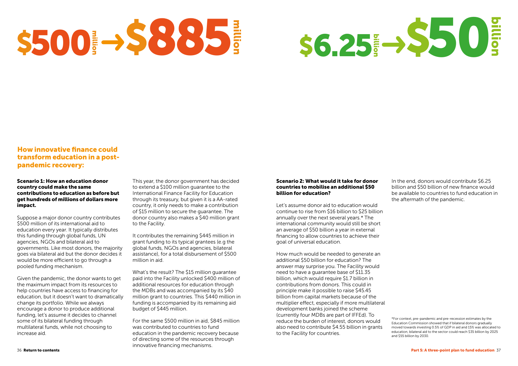# S500 38885

# How innovative finance could transform education in a postpandemic recovery:

### Scenario 1: How an education donor country could make the same contributions to education as before but get hundreds of millions of dollars more impact.

Suppose a major donor country contributes \$500 million of its international aid to education every year. It typically distributes this funding through global funds, UN agencies, NGOs and bilateral aid to governments. Like most donors, the majority goes via bilateral aid but the donor decides it would be more efficient to go through a pooled funding mechanism.

Given the pandemic, the donor wants to get the maximum impact from its resources to help countries have access to financing for education, but it doesn't want to dramatically change its portfolio. While we always encourage a donor to produce additional funding, let's assume it decides to channel some of its bilateral funding through multilateral funds, while not choosing to increase aid.

This year, the donor government has decided to extend a \$100 million guarantee to the International Finance Facility for Education through its treasury, but given it is a AA-rated country, it only needs to make a contribution of \$15 million to secure the guarantee. The donor country also makes a \$40 million grant to the Facility.

It contributes the remaining \$445 million in grant funding to its typical grantees (e.g the global funds, NGOs and agencies, bilateral assistance), for a total disbursement of \$500 million in aid.

What's the result? The \$15 million guarantee paid into the Facility unlocked \$400 million of additional resources for education through the MDBs and was accompanied by its \$40 million grant to countries. This \$440 million in funding is accompanied by its remaining aid budget of \$445 million.

For the same \$500 million in aid, \$845 million was contributed to countries to fund education in the pandemic recovery because of directing some of the resources through innovative financing mechanisms.

# Scenario 2: What would it take for donor countries to mobilise an additional \$50 billion for education?

Let's assume donor aid to education would continue to rise from \$16 billion to \$25 billion annually over the next several years.\* The international community would still be short an average of \$50 billion a year in external financing to allow countries to achieve their goal of universal education.

How much would be needed to generate an additional \$50 billion for education? The answer may surprise you. The Facility would need to have a guarantee base of \$11.35 billion, which would require \$1.7 billion in contributions from donors. This could in principle make it possible to raise \$45.45 billion from capital markets because of the multiplier effect, especially if more multilateral development banks joined the scheme (currently four MDBs are part of IFFEd). To reduce the burden of interest, donors would also need to contribute \$4.55 billion in grants to the Facility for countries.

\*For context, pre-pandemic and pre-recession estimates by the Education Commission showed that if bilateral donors gradually moved towards investing 0.5% of GDP in aid and 15% was allocated to education, bilateral aid to the sector could reach \$35 billion by 2025 and \$55 billion by 2030.



In the end, donors would contribute \$6.25 billion and \$50 billion of new finance would be available to countries to fund education in the aftermath of the pandemic.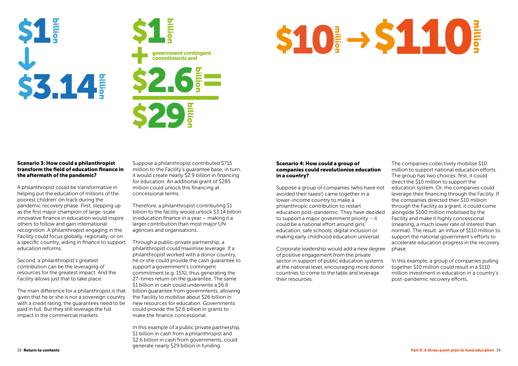## Scenario 3: How could a philanthropist transform the field of education finance in the aftermath of the pandemic?

A philanthropist could be transformative in helping put the education of millions of the poorest children' on track during the pandemic recovery phase. First, stepping up as the first major champion of large-scale innovative finance in education would inspire others to follow and gain international recognition. A philanthropist engaging in the Facility could focus globally, regionally, or on a specific country, aiding in finance to support education reforms.

Second, a philanthropist's greatest contribution can be the leveraging of resources for the greatest impact. And the Facility allows just that to take place.

The main difference for a philanthropist is that given that he or she is not a sovereign country with a credit rating, the guarantees need to be paid in full. But they still leverage the full impact in the commercial markets.

Suppose a philanthropist contributed \$715 million to the Facility's guarantee base, in turn, it would create nearly \$2.9 billion in financing for education. An additional grant of \$285 million could unlock this financing at concessional terms.

Therefore, a philanthropist contributing \$1 billion to the facility would unlock \$3.14 billion in education finance in a year – making it a larger contribution than most major UN agencies and organisations.

Through a public-private partnership, a philanthropist could maximise leverage. If a philanthropist worked with a donor country, he or she could provide the cash guarantee to support a government's contingent commitment (e.g. 15%), thus generating the 27-times return on the guarantee. The same \$1 billion in cash could underwrite a \$6.6 billion guarantee from governments, allowing the Facility to mobilise about \$26 billion in new resources for education. Governments could provide the \$2.6 billion in grants to make the finance concessional.

In this example of a public private partnership, \$1 billion in cash from a philanthropist and \$2.6 billion in cash from governments, could generate nearly \$29 billion in funding.





# Scenario 4: How could a group of companies could revolutionise education in a country?



Suppose a group of companies (who have not avoided their taxes!) came together in a lower-income country to make a philanthropic contribution to restart education post-pandemic. They have decided to support a major government priority – it could be a national effort around girls' education, safe schools, digital inclusion or making early childhood education universal. The companies collectively mobilise \$10 million to support national education efforts. The group has two choices: first, it could direct the \$10 million to support the education system. Or, the companies could leverage their financing through the Facility. If the companies directed their \$10 million through the Facility as a grant, it could come alongside \$100 million mobilised by the Facility and make it highly concessional (meaning, a much lower rate of interest than normal). The result: an influx of \$110 million to support the national government's efforts to accelerate education progress in the recovery phase.

Corporate leadership would add a new degree of positive engagement from the private sector in support of public education systems at the national level, encouraging more donor countries to come to the table and leverage their resources. In this example, a group of companies pulling together \$10 million could result in a \$110 million investment in education in a country's post-pandemic recovery efforts.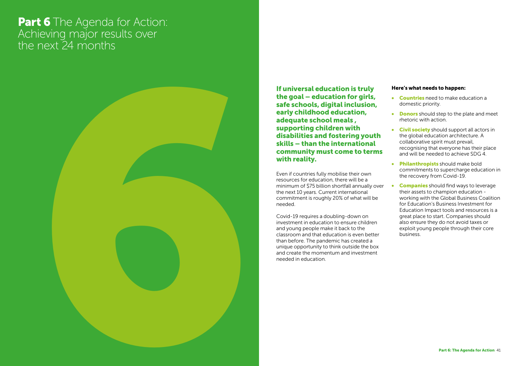# <span id="page-20-0"></span>Part 6 The Agenda for Action: Achieving major results over the next 24 months



- Countries need to make education a domestic priority.
- Donors should step to the plate and meet rhetoric with action.
- Civil society should support all actors in the global education architecture. A collaborative spirit must prevail, recognising that everyone has their place and will be needed to achieve SDG 4.
- Philanthropists should make bold commitments to supercharge education in the recovery from Covid-19.
- Companies should find ways to leverage their assets to champion education working with the Global Business Coalition for Education's Business Investment for Education Impact tools and resources is a great place to start. Companies should also ensure they do not avoid taxes or exploit young people through their core business.

If universal education is truly the goal – education for girls, safe schools, digital inclusion, early childhood education, adequate school meals , supporting children with disabilities and fostering youth skills – than the international community must come to terms with reality.

Even if countries fully mobilise their own resources for education, there will be a minimum of \$75 billion shortfall annually over the next 10 years. Current international commitment is roughly 20% of what will be needed.

Covid-19 requires a doubling-down on investment in education to ensure children and young people make it back to the classroom and that education is even better than before. The pandemic has created a unique opportunity to think outside the box and create the momentum and investment needed in education.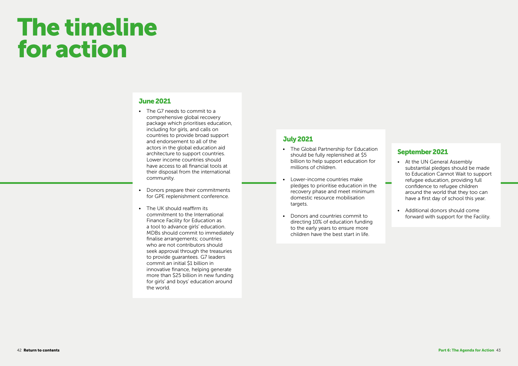- The G7 needs to commit to a comprehensive global recovery package which prioritises education, including for girls, and calls on countries to provide broad support and endorsement to all of the actors in the global education aid architecture to support countries. Lower income countries should have access to all financial tools at their disposal from the international community.
- Donors prepare their commitments for GPE replenishment conference.
- The UK should reaffirm its commitment to the International Finance Facility for Education as a tool to advance girls' education. MDBs should commit to immediately finalise arrangements; countries who are not contributors should seek approval through the treasuries to provide guarantees. G7 leaders commit an initial \$1 billion in innovative finance, helping generate more than \$25 billion in new funding for girls' and boys' education around the world.

# The timeline for action

# June 2021

- The Global Partnership for Education should be fully replenished at \$5 billion to help support education for millions of children.
- Lower-income countries make pledges to prioritise education in the recovery phase and meet minimum domestic resource mobilisation targets.
- Donors and countries commit to directing 10% of education funding to the early years to ensure more children have the best start in life.

# July 2021

- At the UN General Assembly substantial pledges should be made to Education Cannot Wait to support refugee education, providing full confidence to refugee children around the world that they too can have a first day of school this year.
- Additional donors should come forward with support for the Facility.

# September 2021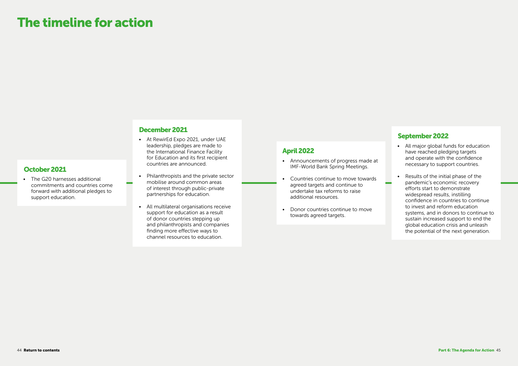• The G20 harnesses additional commitments and countries come forward with additional pledges to support education.

# The timeline for action

# October 2021

- All major global funds for education have reached pledging targets and operate with the confidence necessary to support countries.
- Results of the initial phase of the pandemic's economic recovery efforts start to demonstrate widespread results, instilling confidence in countries to continue to invest and reform education systems, and in donors to continue to sustain increased support to end the global education crisis and unleash the potential of the next generation.

# September 2022

- Announcements of progress made at IMF-World Bank Spring Meetings.
- Countries continue to move towards agreed targets and continue to undertake tax reforms to raise additional resources.
- Donor countries continue to move towards agreed targets.

# April 2022

- At RewirEd Expo 2021, under UAE leadership, pledges are made to the International Finance Facility for Education and its first recipient countries are announced.
- Philanthropists and the private sector mobilise around common areas of interest through public-private partnerships for education.
- All multilateral organisations receive support for education as a result of donor countries stepping up and philanthropists and companies finding more effective ways to channel resources to education.

# December 2021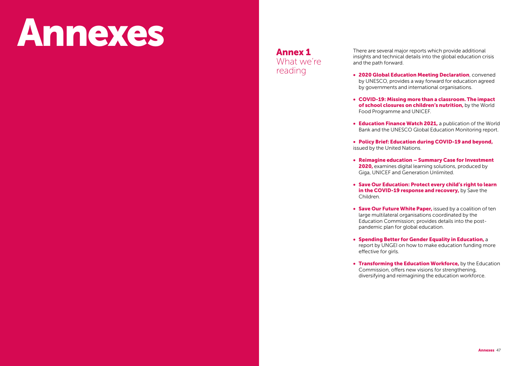# <span id="page-23-0"></span>Annexes

There are several major reports which provide additional insights and technical details into the global education crisis and the path forward.

• 2020 Global Education Meeting Declaration, convened by UNESCO, provides a way forward for education agreed by governments and international organisations.

• Save Our Education: Protect every child's right to learn in the COVID-19 response and recovery, by Save the

• COVID-19: Missing more than a classroom. The impact of school closures on children's nutrition, by the World Food Programme and UNICEF.

• Education Finance Watch 2021, a publication of the World Bank and the UNESCO Global Education Monitoring report.

• Save Our Future White Paper, issued by a coalition of ten large multilateral organisations coordinated by the Education Commission; provides details into the postpandemic plan for global education.

• Policy Brief: Education during COVID-19 and beyond,

• Transforming the Education Workforce, by the Education Commission, offers new visions for strengthening, diversifying and reimagining the education workforce.

• Reimagine education – Summary Case for Investment 2020, examines digital learning solutions, produced by Giga, UNICEF and Generation Unlimited.

- 
- 
- 
- issued by the United Nations.
- 
- Children.
- 
- effective for girls.
- 

• Spending Better for Gender Equality in Education, a report by UNGEI on how to make education funding more

Annex 1 What we're reading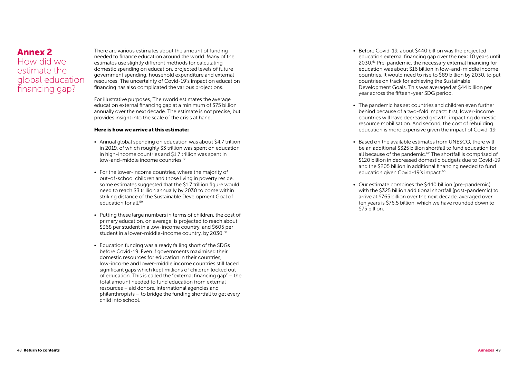There are various estimates about the amount of funding needed to finance education around the world. Many of the estimates use slightly different methods for calculating domestic spending on education, projected levels of future government spending, household expenditure and external resources. The uncertainty of Covid-19's impact on education financing has also complicated the various projections.

For illustrative purposes, Theirworld estimates the average education external financing gap at a minimum of \$75 billion annually over the next decade. The estimate is not precise, but provides insight into the scale of the crisis at hand.

### Here is how we arrive at this estimate:

- Annual global spending on education was about \$4.7 trillion in 2019, of which roughly \$3 trillion was spent on education in high-income countries and \$1.7 trillion was spent in low-and-middle income countries.58
- For the lower-income countries, where the majority of out-of-school children and those living in poverty reside, some estimates suggested that the \$1.7 trillion figure would need to reach \$3 trillion annually by 2030 to come within striking distance of the Sustainable Development Goal of education for all <sup>59</sup>
- Putting these large numbers in terms of children, the cost of primary education, on average, is projected to reach about \$368 per student in a low-income country, and \$605 per student in a lower-middle-income country, by 2030.<sup>60</sup>
- Education funding was already falling short of the SDGs before Covid-19. Even if governments maximised their domestic resources for education in their countries, low-income and lower-middle income countries still faced significant gaps which kept millions of children locked out of education. This is called the "external financing gap" – the total amount needed to fund education from external resources – aid donors, international agencies and philanthropists – to bridge the funding shortfall to get every child into school.

• Based on the available estimates from UNESCO, there will be an additional \$325 billion shortfall to fund education for all because of the pandemic.<sup>62</sup> The shortfall is comprised of \$120 billion in decreased domestic budgets due to Covid-19 and the \$205 billion in additional financing needed to fund education given Covid-19's impact.<sup>63</sup>

# <span id="page-24-0"></span>Annex 2

How did we estimate the global education financing gap?

• Before Covid-19, about \$440 billion was the projected education external financing gap over the next 10 years until 2030.61 Pre-pandemic, the necessary external financing for education was about \$16 billion in low-and-middle income countries. It would need to rise to \$89 billion by 2030, to put countries on track for achieving the Sustainable Development Goals. This was averaged at \$44 billion per year across the fifteen-year SDG period.

• The pandemic has set countries and children even further behind because of a two-fold impact: first, lower-income countries will have decreased growth, impacting domestic resource mobilisation. And second, the cost of rebuilding education is more expensive given the impact of Covid-19.

• Our estimate combines the \$440 billion (pre-pandemic) with the \$325 billion additional shortfall (post-pandemic) to arrive at \$765 billion over the next decade, averaged over ten years is \$76.5 billion, which we have rounded down to

- 
- 
- 
- \$75 billion.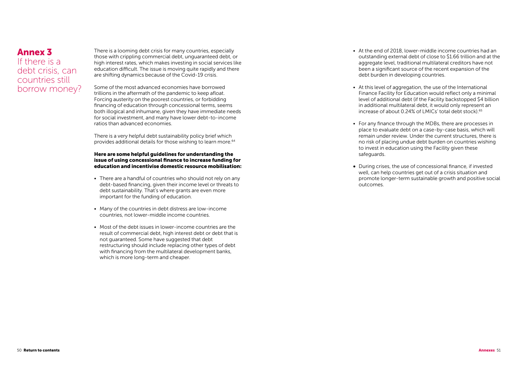There is a looming debt crisis for many countries, especially those with crippling commercial debt, unguaranteed debt, or high interest rates, which makes investing in social services like education difficult. The issue is moving quite rapidly and there are shifting dynamics because of the Covid-19 crisis.

There is a very helpful debt sustainability policy brief which provides additional details for those wishing to learn more.<sup>64</sup>

Some of the most advanced economies have borrowed trillions in the aftermath of the pandemic to keep afloat. Forcing austerity on the poorest countries, or forbidding financing of education through concessional terms, seems both illogical and inhumane, given they have immediate needs for social investment, and many have lower debt-to-income ratios than advanced economies.

- There are a handful of countries who should not rely on any debt-based financing, given their income level or threats to debt sustainability. That's where grants are even more important for the funding of education.
- Many of the countries in debt distress are low-income countries, not lower-middle income countries.
- Most of the debt issues in lower-income countries are the result of commercial debt, high interest debt or debt that is not guaranteed. Some have suggested that debt restructuring should include replacing other types of debt with financing from the multilateral development banks, which is more long-term and cheaper.

### Here are some helpful guidelines for understanding the issue of using concessional finance to increase funding for education and incentivise domestic resource mobilisation:

• At this level of aggregation, the use of the International Finance Facility for Education would reflect only a minimal level of additional debt (if the Facility backstopped \$4 billion in additional multilateral debt, it would only represent an increase of about 0.24% of LMICs' total debt stock).<sup>65</sup>

# <span id="page-25-0"></span>Annex 3 If there is a

debt crisis, can countries still borrow money? • At the end of 2018, lower-middle income countries had an outstanding external debt of close to \$1.66 trillion and at the aggregate level, traditional multilateral creditors have not been a significant source of the recent expansion of the debt burden in developing countries.

• For any finance through the MDBs, there are processes in place to evaluate debt on a case-by-case basis, which will remain under review. Under the current structures, there is no risk of placing undue debt burden on countries wishing to invest in education using the Facility given these

- 
- 
- safeguards.
- outcomes.

• During crises, the use of concessional finance, if invested well, can help countries get out of a crisis situation and promote longer-term sustainable growth and positive social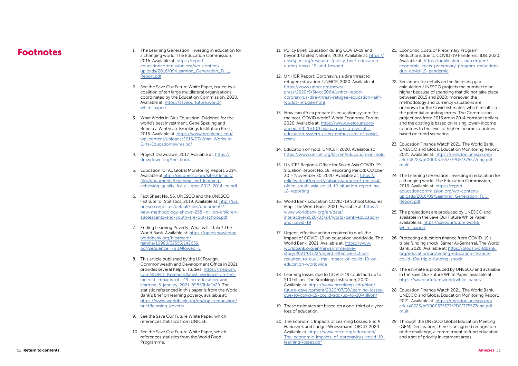- <span id="page-26-0"></span>1. The Learning Generation: investing in education for a metal of the Policy Brief: Education during COVID-19 and 21. Economic Costs of Preprimary Program<br>a changing world. The Education Commission. bevond. United Nations. a changing world. The Education Commission, 2016. Available at: [https://report.](https://report.educationcommission.org/wp-content/uploads/2016/09/Learning_Generation_Full_Report.pd) [educationcommission.org/wp-content/](https://report.educationcommission.org/wp-content/uploads/2016/09/Learning_Generation_Full_Report.pd) [uploads/2016/09/Learning\\_Generation\\_Full\\_](https://report.educationcommission.org/wp-content/uploads/2016/09/Learning_Generation_Full_Report.pd) [Report.pdf](https://report.educationcommission.org/wp-content/uploads/2016/09/Learning_Generation_Full_Report.pd)
	- 2. See the Save Our Future White Paper, issued by a coalition of ten large multilateral organisations coordinated by the Education Commission, 2020. Available at: [https://saveourfuture.world/](https://saveourfuture.world/white-paper/ ) [white-paper/](https://saveourfuture.world/white-paper/ )
	- 3. What Works in Girls Education: Evidence for the world's best investment. Gene Sperling and Rebecca Winthrop. Brookings Institution Press, 2016. Available at: [https://www.brookings.edu/]( https://www.brookings.edu/wp-content/uploads/2016/07/What-Works-in-Girls-Educationlowres.pdf  ) [wp-content/uploads/2016/07/What-Works-in-]( https://www.brookings.edu/wp-content/uploads/2016/07/What-Works-in-Girls-Educationlowres.pdf  )[Girls-Educationlowres.pdf]( https://www.brookings.edu/wp-content/uploads/2016/07/What-Works-in-Girls-Educationlowres.pdf  )
	- 4. Project Drawdown, 2017. Available at: [https://](https://drawdown.org/the-book ) [drawdown.org/the-book](https://drawdown.org/the-book )
	- 5. Education for All Global Monitoring Report, 2014. Available at [http://uis.unesco.org/sites/default/]( http://uis.unesco.org/sites/default/files/documents/teaching-and-learning-achieving-quality-for-all) [files/documents/teaching-and-learning]( http://uis.unesco.org/sites/default/files/documents/teaching-and-learning-achieving-quality-for-all)[achieving-quality-for-all-gmr-2013-2014-en.pdf]( http://uis.unesco.org/sites/default/files/documents/teaching-and-learning-achieving-quality-for-all)
	- 6. Fact Sheet No. 56. UNESCO and the UNESCO Institute for Statistics, 2019. Available at: [http://uis.](http://uis.unesco.org/sites/default/files/documents/new-methodology-shows-258-million-children-adole) [unesco.org/sites/default/files/documents/](http://uis.unesco.org/sites/default/files/documents/new-methodology-shows-258-million-children-adole) [new-methodology-shows-258-million-children](http://uis.unesco.org/sites/default/files/documents/new-methodology-shows-258-million-children-adole)[adolescents-and-youth-are-out-school.pdf](http://uis.unesco.org/sites/default/files/documents/new-methodology-shows-258-million-children-adole)
	- 7. Ending Learning Poverty: What will it take? The World Bank. Available at: [https://openknowledge.](https://openknowledge.worldbank.org/bitstream/handle/10986/32553/142659.pdf?sequence=7&isAllowed=y ) [worldbank.org/bitstream/](https://openknowledge.worldbank.org/bitstream/handle/10986/32553/142659.pdf?sequence=7&isAllowed=y ) [handle/10986/32553/142659.](https://openknowledge.worldbank.org/bitstream/handle/10986/32553/142659.pdf?sequence=7&isAllowed=y ) [pdf?sequence=7&isAllowed=y](https://openknowledge.worldbank.org/bitstream/handle/10986/32553/142659.pdf?sequence=7&isAllowed=y )
	- 8. This article published by the UK Foreign, Commonwealth and Development Office in 2021 provides several helpful studies: [https://medium.](https://medium.com/@DFID_Research/latest-evidence-on-the-indirect-impacts-of-c19-on-education-and-le) [com/@DFID\\_Research/latest-evidence-on-the](https://medium.com/@DFID_Research/latest-evidence-on-the-indirect-impacts-of-c19-on-education-and-le)[indirect-impacts-of-c19-on-education-and](https://medium.com/@DFID_Research/latest-evidence-on-the-indirect-impacts-of-c19-on-education-and-le)[learning-5-january-2021-89853bfa2a29.](https://medium.com/@DFID_Research/latest-evidence-on-the-indirect-impacts-of-c19-on-education-and-le) The statistic referenced in this paper is from the World Bank's brief on learning poverty, available at: [https://www.worldbank.org/en/topic/education/](https://www.worldbank.org/en/topic/education/brief/learning-poverty ) [brief/learning-poverty](https://www.worldbank.org/en/topic/education/brief/learning-poverty )
	- 9. See the Save Our Future White Paper, which references statistics from UNICEF.
	- 10. See the Save Our Future White Paper, which references statistics from the World Food Programme.
- 11. Policy Brief: Education during COVID-19 and beyond. United Nations, 2020. Available at: [https://](https://unsdg.un.org/resources/policy-brief-education-during-covid-19-and-beyond ) [unsdg.un.org/resources/policy-brief-education](https://unsdg.un.org/resources/policy-brief-education-during-covid-19-and-beyond )[during-covid-19-and-beyond](https://unsdg.un.org/resources/policy-brief-education-during-covid-19-and-beyond )
- 12. UNHCR Report: Coronavirus a dire threat to refugee education. UNHCR, 2020. Available at: [https://www.unhcr.org/news/](https://www.unhcr.org/news/press/2020/9/5f4cc3064/unhcr-report-coronavirus-dire-threat-refugee-educa) [press/2020/9/5f4cc3064/unhcr-report](https://www.unhcr.org/news/press/2020/9/5f4cc3064/unhcr-report-coronavirus-dire-threat-refugee-educa)[coronavirus-dire-threat-refugee-education-half](https://www.unhcr.org/news/press/2020/9/5f4cc3064/unhcr-report-coronavirus-dire-threat-refugee-educa)[worlds-refugee.html](https://www.unhcr.org/news/press/2020/9/5f4cc3064/unhcr-report-coronavirus-dire-threat-refugee-educa)
- 13. How can Africa prepare its education system for the post-COVID world? World Economic Forum, 2020. Available at: [https://www.weforum.org/](https://www.weforum.org/agenda/2020/10/how-can-africa-pivot-its-education-system-using-enthusiasm-of) [agenda/2020/10/how-can-africa-pivot-its](https://www.weforum.org/agenda/2020/10/how-can-africa-pivot-its-education-system-using-enthusiasm-of)[education-system-using-enthusiasm-of-covid](https://www.weforum.org/agenda/2020/10/how-can-africa-pivot-its-education-system-using-enthusiasm-of)[reset/](https://www.weforum.org/agenda/2020/10/how-can-africa-pivot-its-education-system-using-enthusiasm-of)
- 14. Education on hold. UNICEF, 2020. Available at: [https://www.unicef.org/lac/en/education-on-hold](https://www.unicef.org/lac/en/education-on-hold )
- 15. UNICEF Regional Office for South Asia COVID-19 Situation Report No. 18, Reporting Period: October 30 – November 30, 2020. Available at: [https://](https://reliefweb.int/report/afghanistan/unicef-regional-office-south-asia-covid-19-situation-report-no-18-reporting ) [reliefweb.int/report/afghanistan/unicef-regional](https://reliefweb.int/report/afghanistan/unicef-regional-office-south-asia-covid-19-situation-report-no-18-reporting )[office-south-asia-covid-19-situation-report-no-](https://reliefweb.int/report/afghanistan/unicef-regional-office-south-asia-covid-19-situation-report-no-18-reporting )[18-reporting](https://reliefweb.int/report/afghanistan/unicef-regional-office-south-asia-covid-19-situation-report-no-18-reporting )
- 16. World Bank Education COVID-19 School Closures Map. The World Bank, 2021. Available at: [https://](https://www.worldbank.org/en/data/interactive/2020/03/24/world-bank-education-and-covid-19 ) [www.worldbank.org/en/data/](https://www.worldbank.org/en/data/interactive/2020/03/24/world-bank-education-and-covid-19 ) [interactive/2020/03/24/world-bank-education](https://www.worldbank.org/en/data/interactive/2020/03/24/world-bank-education-and-covid-19 )[and-covid-19](https://www.worldbank.org/en/data/interactive/2020/03/24/world-bank-education-and-covid-19 )
- 17. Urgent, effective action required to quell the impact of COVID-19 on education worldwide. The World Bank, 2021. Available at: [https://www.](https://www.worldbank.org/en/news/immersive-story/2021/01/22/urgent-effective-action-required-to-quell-the-impact-of-covid-19-on-education-worldwide ) [worldbank.org/en/news/immersive](https://www.worldbank.org/en/news/immersive-story/2021/01/22/urgent-effective-action-required-to-quell-the-impact-of-covid-19-on-education-worldwide )[story/2021/01/22/urgent-effective-action](https://www.worldbank.org/en/news/immersive-story/2021/01/22/urgent-effective-action-required-to-quell-the-impact-of-covid-19-on-education-worldwide )[required-to-quell-the-impact-of-covid-19-on](https://www.worldbank.org/en/news/immersive-story/2021/01/22/urgent-effective-action-required-to-quell-the-impact-of-covid-19-on-education-worldwide )[education-worldwide](https://www.worldbank.org/en/news/immersive-story/2021/01/22/urgent-effective-action-required-to-quell-the-impact-of-covid-19-on-education-worldwide )
- 18. Learning losses due to COVID-19 could add up to \$10 trillion. The Brookings Institution, 2020. Available at: [https://www.brookings.edu/blog/](https://www.brookings.edu/blog/future-development/2020/07/30/learning-losses-due-to-covid-19-could-add-up-to-10-trillion/ ) [future-development/2020/07/30/learning-losses](https://www.brookings.edu/blog/future-development/2020/07/30/learning-losses-due-to-covid-19-could-add-up-to-10-trillion/ )[due-to-covid-19-could-add-up-to-10-trillion/](https://www.brookings.edu/blog/future-development/2020/07/30/learning-losses-due-to-covid-19-could-add-up-to-10-trillion/ )
- 19. These estimates are based on a one-third of a year loss of education.
- 20. The Economic Impacts of Learning Losses. Eric A Hanushek and Ludger Woessmann. OECD, 2020. Available at: [https://www.oecd.org/education/](https://www.oecd.org/education/The-economic-impacts-of-coronavirus-covid-19-learning-losses.pdf ) [The-economic-impacts-of-coronavirus-covid-19](https://www.oecd.org/education/The-economic-impacts-of-coronavirus-covid-19-learning-losses.pdf ) [learning-losses.pdf](https://www.oecd.org/education/The-economic-impacts-of-coronavirus-covid-19-learning-losses.pdf )
- Reductions due to COVID-19 Pandemic. IDB, 2020. Available at: [https://publications.iadb.org/en/](https://publications.iadb.org/en/economic-costs-preprimary-program-reductions-due-covid-19-pandemic ) [economic-costs-preprimary-program-reductions](https://publications.iadb.org/en/economic-costs-preprimary-program-reductions-due-covid-19-pandemic )[due-covid-19-pandemic](https://publications.iadb.org/en/economic-costs-preprimary-program-reductions-due-covid-19-pandemic )
- 22. See annex for details on the financing gap calculation. UNESCO projects the number to be higher because of spending that did not take place between 2015 and 2020; moreover, the methodology and currency valuations are unknown for the Covid estimates, which results in the potential rounding errors. The Commission projections from 2016 are in 2014 constant dollars and the costing is based on raising lower-income countries to the level of higher income countries based on trend scenarios.
- 23. Education Finance Watch 2021. The World Bank, UNESCO and Global Education Monitoring Report, 2021. Available at: [https://unesdoc.unesco.org/](https://unesdoc.unesco.org/ark:/48223/pf0000375577/PDF/375577eng.pdf.multi  ) [ark:/48223/pf0000375577/PDF/375577eng.pdf.](https://unesdoc.unesco.org/ark:/48223/pf0000375577/PDF/375577eng.pdf.multi  ) [multi](https://unesdoc.unesco.org/ark:/48223/pf0000375577/PDF/375577eng.pdf.multi  )
- 24. The Learning Generation: investing in education for a changing world. The Education Commission, 2016. Available at: [https://report.](https://report.educationcommission.org/wp-content/uploads/2016/09/Learning_Generation_Full_Report.pd) [educationcommission.org/wp-content/](https://report.educationcommission.org/wp-content/uploads/2016/09/Learning_Generation_Full_Report.pd) uploads/2016/09/Learning\_Generation\_Full [Report.pdf](https://report.educationcommission.org/wp-content/uploads/2016/09/Learning_Generation_Full_Report.pd).
- 25. The projections are produced by UNESCO and available in the Save Our Future White Paper, available at: [https://saveourfuture.world/](https://saveourfuture.world/white-paper/ ) [white-paper/](https://saveourfuture.world/white-paper/ )
- 26. Protecting education finance from COVID-19's triple funding shock. Samer Al-Samarrai, The World Bank, 2020. Available at: [https://blogs.worldbank.](https://blogs.worldbank.org/education/protecting-education-finance-covid-19s-triple-funding-shock ) [org/education/protecting-education-finance](https://blogs.worldbank.org/education/protecting-education-finance-covid-19s-triple-funding-shock )[covid-19s-triple-funding-shock](https://blogs.worldbank.org/education/protecting-education-finance-covid-19s-triple-funding-shock )
- 27. The estimate is produced by UNESCO and available in the Save Our Future White Paper, available at: [https://saveourfuture.world/white-paper/](https://saveourfuture.world/white-paper/ )
- 28. Education Finance Watch 2021. The World Bank, UNESCO and Global Education Monitoring Report, 2021. Available at: [https://unesdoc.unesco.org/](https://unesdoc.unesco.org/ark:/48223/pf0000375577/PDF/375577eng.pdf.multi  ) [ark:/48223/pf0000375577/PDF/375577eng.pdf.](https://unesdoc.unesco.org/ark:/48223/pf0000375577/PDF/375577eng.pdf.multi  ) [multi](https://unesdoc.unesco.org/ark:/48223/pf0000375577/PDF/375577eng.pdf.multi  )
- 29. Through the UNESCO Global Education Meeting (GEM) Declaration, there is an agreed recognition of the challenge, a commitment to fund education and a set of priority investment areas.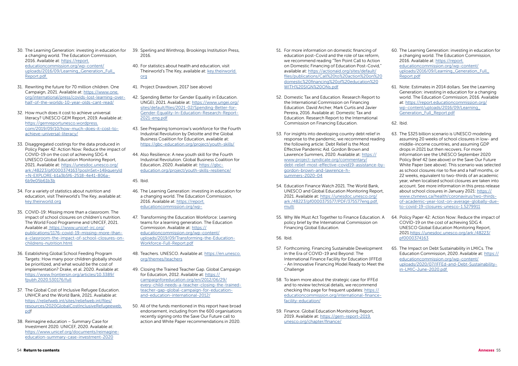- 30. The Learning Generation: investing in education for a changing world. The Education Commission, 2016. Available at: [https://report.](https://report.educationcommission.org/wp-content/uploads/2016/09/Learning_Generation_Full_Report.pdf. ) [educationcommission.org/wp-content/](https://report.educationcommission.org/wp-content/uploads/2016/09/Learning_Generation_Full_Report.pdf. ) [uploads/2016/09/Learning\\_Generation\\_Full\\_](https://report.educationcommission.org/wp-content/uploads/2016/09/Learning_Generation_Full_Report.pdf. ) [Report.pdf.](https://report.educationcommission.org/wp-content/uploads/2016/09/Learning_Generation_Full_Report.pdf. )
- 31. Rewriting the future for 70 million children. One Campaign, 2021. Available at: [https://www.one.](https://www.one.org/international/press/covids-lost-learning-over-half-of-the-worlds-10-year-olds-cant-read/ ) [org/international/press/covids-lost-learning-over](https://www.one.org/international/press/covids-lost-learning-over-half-of-the-worlds-10-year-olds-cant-read/ )[half-of-the-worlds-10-year-olds-cant-read/](https://www.one.org/international/press/covids-lost-learning-over-half-of-the-worlds-10-year-olds-cant-read/ )
- 32. How much does it cost to achieve universal literacy? UNESCO GEM Report, 2019. Available at: [https://gemreportunesco.wordpress.](https://gemreportunesco.wordpress.com/2019/09/10/how-much-does-it-cost-to-achieve-universal-literacy/ ) [com/2019/09/10/how-much-does-it-cost-to](https://gemreportunesco.wordpress.com/2019/09/10/how-much-does-it-cost-to-achieve-universal-literacy/ )[achieve-universal-literacy/](https://gemreportunesco.wordpress.com/2019/09/10/how-much-does-it-cost-to-achieve-universal-literacy/ )
- 33. Disaggregated costings for the data produced in Policy Paper 42: Action Now: Reduce the impact of COVID-19 on the cost of achieving SDG 4. UNESCO Global Education Monitoring Report, 2021. Available at: [https://unesdoc.unesco.org/](https://unesdoc.unesco.org/ark:/48223/pf0000374163?posInSet=14&queryId=N-EXPLORE-b1a3b5f6-2518-4e41-806a-6b9e05b61b3b ) [ark:/48223/pf0000374163?posInSet=14&queryId](https://unesdoc.unesco.org/ark:/48223/pf0000374163?posInSet=14&queryId=N-EXPLORE-b1a3b5f6-2518-4e41-806a-6b9e05b61b3b ) [=N-EXPLORE-b1a3b5f6-2518-4e41-806a-](https://unesdoc.unesco.org/ark:/48223/pf0000374163?posInSet=14&queryId=N-EXPLORE-b1a3b5f6-2518-4e41-806a-6b9e05b61b3b )[6b9e05b61b3b](https://unesdoc.unesco.org/ark:/48223/pf0000374163?posInSet=14&queryId=N-EXPLORE-b1a3b5f6-2518-4e41-806a-6b9e05b61b3b )
- 34. For a variety of statistics about nutrition and education, visit Theirworld's The Key, available at: [key.theirworld.org](http://key.theirworld.org)
- 35. COVID-19: Missing more than a classroom. The impact of school closures on children's nutrition. The World Food Programme and UNICEF, 2021. Available at[: https://www.unicef-irc.org/]( https://www.unicef-irc.org/publications/1176-covid-19-missing-more-than-a-classroom-the-impact-of-school-closures-on-childrens-nutrition.html) [publications/1176-covid-19-missing-more-than]( https://www.unicef-irc.org/publications/1176-covid-19-missing-more-than-a-classroom-the-impact-of-school-closures-on-childrens-nutrition.html)[a-classroom-the-impact-of-school-closures-on]( https://www.unicef-irc.org/publications/1176-covid-19-missing-more-than-a-classroom-the-impact-of-school-closures-on-childrens-nutrition.html)[childrens-nutrition.html]( https://www.unicef-irc.org/publications/1176-covid-19-missing-more-than-a-classroom-the-impact-of-school-closures-on-childrens-nutrition.html)
- 36. Establishing Global School Feeding Program Targets: How many poor children globally should be prioritized, and what would be the cost of implementation? Drake, et al. 2020. Available at: [https://www.frontiersin.org/articles/10.3389/](https://www.frontiersin.org/articles/10.3389/fpubh.2020.530176/full) [fpubh.2020.530176/full](https://www.frontiersin.org/articles/10.3389/fpubh.2020.530176/full)
- 37. The Global Cost of Inclusive Refugee Education. UNHCR and the World Bank, 2021. Available at: [https://reliefweb.int/sites/reliefweb.int/files/](https://reliefweb.int/sites/reliefweb.int/files/resources/2020GlobalCostInclusiveRefugeeweb.pd) [resources/2020GlobalCostInclusiveRefugeeweb.](https://reliefweb.int/sites/reliefweb.int/files/resources/2020GlobalCostInclusiveRefugeeweb.pd) [pd](https://reliefweb.int/sites/reliefweb.int/files/resources/2020GlobalCostInclusiveRefugeeweb.pd)f
- 38. Reimagine education Summary Case for Investment 2020. UNICEF, 2020. Available at: [https://www.unicef.org/documents/reimagine](https://www.unicef.org/documents/reimagine-education-summary-case-investment-2020)[education-summary-case-investment-2020](https://www.unicef.org/documents/reimagine-education-summary-case-investment-2020)
- 39. Sperling and Winthrop, Brookings Institution Press, 2016.
- 40. For statistics about health and education, visit Theirworld's The Key, available at: [key.theirworld.](http://key.theirworld.org) [org](http://key.theirworld.org)
- 41. Project Drawdown, 2017 (see above)
- 42. Spending Better for Gender Equality in Education. UNGEI, 2021. Available at: [https://www.ungei.org/](https://www.ungei.org/sites/default/files/2021-02/Spending-Better-for-Gender-Equality-In-Education-Research-Report-2021-eng.pdf) [sites/default/files/2021-02/Spending-Better-for-](https://www.ungei.org/sites/default/files/2021-02/Spending-Better-for-Gender-Equality-In-Education-Research-Report-2021-eng.pdf)[Gender-Equality-In-Education-Research-Report-](https://www.ungei.org/sites/default/files/2021-02/Spending-Better-for-Gender-Equality-In-Education-Research-Report-2021-eng.pdf)[2021-eng.pdf](https://www.ungei.org/sites/default/files/2021-02/Spending-Better-for-Gender-Equality-In-Education-Research-Report-2021-eng.pdf)
- 43. See Preparing tomorrow's workforce for the Fourth Industrial Revolution by Deloitte and the Global Business Coalition for Education, available at: <https://gbc-education.org/project/youth-skills/>
- 44. Also Resilience: A new youth skill for the Fourth Industrial Revolution. Global Business Coalition for Education, 2020. Available at: [https://gbc](https://gbc-education.org/project/youth-skills-resilience/ )[education.org/project/youth-skills-resilience/](https://gbc-education.org/project/youth-skills-resilience/ )

45. Ibid.

- 46. The Learning Generation: investing in education for a changing world. The Education Commission, 2016. Available at: [https://report.](https://report.educationcommission.org/wp- ) [educationcommission.org/wp-](https://report.educationcommission.org/wp- )
- 47. Transforming the Education Workforce: Learning teams for a learning generation. The Education Commission. Available at: [https://](https://educationcommission.org/wp-content/uploads/2019/09/Transforming-the-Education-Workforce-Full-Report.pdf ) [educationcommission.org/wp-content/](https://educationcommission.org/wp-content/uploads/2019/09/Transforming-the-Education-Workforce-Full-Report.pdf ) [uploads/2019/09/Transforming-the-Education-](https://educationcommission.org/wp-content/uploads/2019/09/Transforming-the-Education-Workforce-Full-Report.pdf )[Workforce-Full-Report.pdf](https://educationcommission.org/wp-content/uploads/2019/09/Transforming-the-Education-Workforce-Full-Report.pdf )
- 48. Teachers. UNESCO. Available at: [https://en.unesco.](https://en.unesco.org/themes/teachers) [org/themes/teachers](https://en.unesco.org/themes/teachers)
- 49. Closing the Trained Teacher Gap. Global Campaign for Education, 2012. Available at: [https://](https://campaignforeducation.org/en/2012/06/29/every-child-needs-a-teacher-closing-the-trained-teach) [campaignforeducation.org/en/2012/06/29/](https://campaignforeducation.org/en/2012/06/29/every-child-needs-a-teacher-closing-the-trained-teach) [every-child-needs-a-teacher-closing-the-trained](https://campaignforeducation.org/en/2012/06/29/every-child-needs-a-teacher-closing-the-trained-teach)[teacher-gap-global-campaign-for-education](https://campaignforeducation.org/en/2012/06/29/every-child-needs-a-teacher-closing-the-trained-teach)[and-education-international-2012/](https://campaignforeducation.org/en/2012/06/29/every-child-needs-a-teacher-closing-the-trained-teach)
- 50. All of the funds mentioned in this report have broad endorsement, including from the 600 organisations recently signing onto the Save Our Future call to action and White Paper recommendations in 2020.
- 51. For more information on domestic financing of education post-Covid and the role of tax reform, we recommend reading "Ten Point Call to Action on Domestic Financing of Education Post-Covid," available at: [https://actionaid.org/sites/default/](https://actionaid.org/sites/default/files/publications/Call%20to%20action%20on%20domestic%20financing%20of%20education%20WITH%20SIGN%20ONs.pdf) [files/publications/Call%20to%20action%20on%20](https://actionaid.org/sites/default/files/publications/Call%20to%20action%20on%20domestic%20financing%20of%20education%20WITH%20SIGN%20ONs.pdf) [domestic%20financing%20of%20education%20](https://actionaid.org/sites/default/files/publications/Call%20to%20action%20on%20domestic%20financing%20of%20education%20WITH%20SIGN%20ONs.pdf) [WITH%20SIGN%20ONs.pdf](https://actionaid.org/sites/default/files/publications/Call%20to%20action%20on%20domestic%20financing%20of%20education%20WITH%20SIGN%20ONs.pdf)
- 52. Domestic Tax and Education. Research Report to the International Commission on Financing Education. David Archer, Mark Curtis and Javier Pereira, 2016. Available at: Domestic Tax and Education. Research Report to the International Commission on Financing Education.
- 53. For insights into developing country debt relief in response to the pandemic, we recommend reading the following article: Debt Relief is the Most Effective Pandemic Aid. Gordon Brown and Lawrence Summers, 2020. Available at: [https://](https://www.project-syndicate.org/commentary/debt-relief-most-effective-covid19-assistance-by-gordon-brown-and-lawrence-h-summers-2020-04) [www.project-syndicate.org/commentary/](https://www.project-syndicate.org/commentary/debt-relief-most-effective-covid19-assistance-by-gordon-brown-and-lawrence-h-summers-2020-04) [debt-relief-most-effective-covid19-assistance-by](https://www.project-syndicate.org/commentary/debt-relief-most-effective-covid19-assistance-by-gordon-brown-and-lawrence-h-summers-2020-04)[gordon-brown-and-lawrence-h](https://www.project-syndicate.org/commentary/debt-relief-most-effective-covid19-assistance-by-gordon-brown-and-lawrence-h-summers-2020-04)[summers-2020-04](https://www.project-syndicate.org/commentary/debt-relief-most-effective-covid19-assistance-by-gordon-brown-and-lawrence-h-summers-2020-04) UNESCO and Global Education Monitoring Report, 2021. Available at: [https://unesdoc.unesco.org/](https://unesdoc.unesco.org/ark:/48223/pf0000375577/PDF/375577eng.pdf.multi) [ark:/48223/pf0000375577/PDF/375577eng.pdf.](https://unesdoc.unesco.org/ark:/48223/pf0000375577/PDF/375577eng.pdf.multi) [multi](https://unesdoc.unesco.org/ark:/48223/pf0000375577/PDF/375577eng.pdf.multi) 63. The \$325 billion scenario is UNESCO modeling assuming 20 weeks of school closures in low- and middle-income countries, and assuming GDP drops in 2021 but then recovers. For more information see the UNESCO September 2020 Policy Brief 42 (see above) or the Save Our Future White Paper (see above). This scenario was selected as school closures rise to five and a half months, or 22 weeks, equivalent to two-thirds of an academic year, when localised school closures are taken into account. See more information in this press release about school closures in January 2021: [https://](https://www.ctvnews.ca/health/coronavirus/two-thirds-of-academic-year-lost-on-average-globally-due-to-covid-19-closures-unesco-1.5279911) [www.ctvnews.ca/health/coronavirus/two-thirds](https://www.ctvnews.ca/health/coronavirus/two-thirds-of-academic-year-lost-on-average-globally-due-to-covid-19-closures-unesco-1.5279911)[of-academic-year-lost-on-average-globally-due](https://www.ctvnews.ca/health/coronavirus/two-thirds-of-academic-year-lost-on-average-globally-due-to-covid-19-closures-unesco-1.5279911)[to-covid-19-closures-unesco-1.5279911](https://www.ctvnews.ca/health/coronavirus/two-thirds-of-academic-year-lost-on-average-globally-due-to-covid-19-closures-unesco-1.5279911)
- 54. Education Finance Watch 2021. The World Bank,
- 55. Why We Must Act Together to Finance Education. A policy brief by the International Commission on Financing Global Education.

56. Ibid.

- 57. Forthcoming. Financing Sustainable Development in the Era of COVID-19 and Beyond: The International Finance Facility for Education (IFFEd) - An Innovative Financing Model Ready to Meet the Challenge
- 58. To learn more about the strategic case for IFFEd and to review technical details, we recommend checking this page for frequent updates: [https://](https://educationcommission.org/international-finance-facility-education/) [educationcommission.org/international-finance](https://educationcommission.org/international-finance-facility-education/)[facility-education/](https://educationcommission.org/international-finance-facility-education/)
- 59. Finance. Global Education Monitoring Report, 2019. Available at: [https://gem-report-2019.](https://gem-report-2019.unesco.org/chapter/finance/) [unesco.org/chapter/finance/](https://gem-report-2019.unesco.org/chapter/finance/)
- 60. The Learning Generation: investing in education for a changing world. The Education Commission, 2016. Available at: [https://report.](https://report.educationcommission.org/wp-content/uploads/2016/09/Learning_Generation_Full_Report.pdf) [educationcommission.org/wp-content/](https://report.educationcommission.org/wp-content/uploads/2016/09/Learning_Generation_Full_Report.pdf) uploads/2016/09/Learning\_Generation\_Full [Report.pdf](https://report.educationcommission.org/wp-content/uploads/2016/09/Learning_Generation_Full_Report.pdf)
- 61. Note: Estimates in 2014 dollars. See the Learning Generation: investing in education for a changing world. The Education Commission, 2016. Available at: [https://report.educationcommission.org/](https://report.educationcommission.org/wp-content/uploads/2016/09/Learning_Generation_Full_Report.pdf) [wp-content/uploads/2016/09/Learning\\_](https://report.educationcommission.org/wp-content/uploads/2016/09/Learning_Generation_Full_Report.pdf) [Generation\\_Full\\_Report.pdf](https://report.educationcommission.org/wp-content/uploads/2016/09/Learning_Generation_Full_Report.pdf)
- 62. Ibid.

- 64. Policy Paper 42: Action Now: Reduce the impact of COVID-19 on the cost of achieving SDG 4. UNESCO Global Education Monitoring Report, 2021.[https://unesdoc.unesco.org/ark:/48223/](https://unesdoc.unesco.org/ark:/48223/pf0000374163) [pf0000374163](https://unesdoc.unesco.org/ark:/48223/pf0000374163)
- 65. The Impact on Debt Sustainability in LMICs. The Education Commission, 2020. Available at: [https://](https://educationcommission.org/wp-content/uploads/2020/07/IFFEd-and-Debt-Sustainability-in-LMIC-June-2020.pdf ) [educationcommission.org/wp-content/](https://educationcommission.org/wp-content/uploads/2020/07/IFFEd-and-Debt-Sustainability-in-LMIC-June-2020.pdf ) [uploads/2020/07/IFFEd-and-Debt-Sustainability](https://educationcommission.org/wp-content/uploads/2020/07/IFFEd-and-Debt-Sustainability-in-LMIC-June-2020.pdf )[in-LMIC-June-2020.pdf](https://educationcommission.org/wp-content/uploads/2020/07/IFFEd-and-Debt-Sustainability-in-LMIC-June-2020.pdf )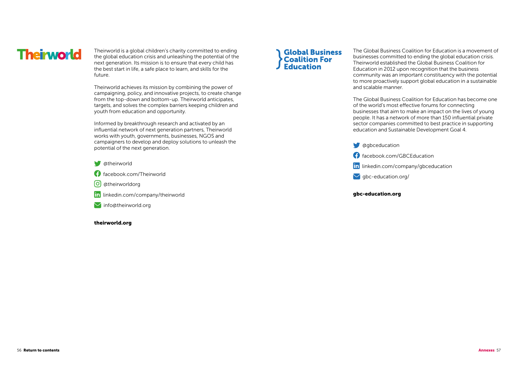in linkedin.com/company/gbceducation

# **Theirworld**

Theirworld is a global children's charity committed to ending the global education crisis and unleashing the potential of the next generation. Its mission is to ensure that every child has the best start in life, a safe place to learn, and skills for the future.

Theirworld achieves its mission by combining the power of campaigning, policy, and innovative projects, to create change from the top-down and bottom-up. Theirworld anticipates, targets, and solves the complex barriers keeping children and youth from education and opportunity.

Informed by breakthrough research and activated by an influential network of next generation partners, Theirworld works with youth, governments, businesses, NGOS and campaigners to develop and deploy solutions to unleash the potential of the next generation.

- **W** atheirworld
- facebook.com/Theirworld
- (o) atheirworldorg
- in linkedin.com/company/theirworld
- **M** info@theirworld.org

### theirworld.org

# **Global Business Coalition For<br>Education**

The Global Business Coalition for Education is a movement of businesses committed to ending the global education crisis. Theirworld established the Global Business Coalition for Education in 2012 upon recognition that the business community was an important constituency with the potential to more proactively support global education in a sustainable and scalable manner.

The Global Business Coalition for Education has become one of the world's most effective forums for connecting businesses that aim to make an impact on the lives of young people. It has a network of more than 150 influential private sector companies committed to best practice in supporting education and Sustainable Development Goal 4.

 $\bigcirc$  agbceducation facebook.com/GBCEducation  $\vee$  gbc-education.org/

gbc-education.org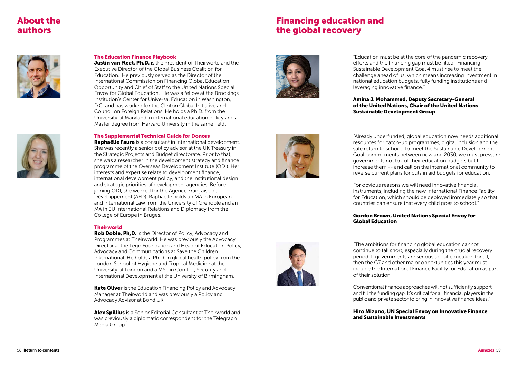# About the authors

# Financing education and the global recovery





### The Education Finance Playbook

**Justin van Fleet, Ph.D.** is the President of Theirworld and the Executive Director of the Global Business Coalition for Education. He previously served as the Director of the International Commission on Financing Global Education Opportunity and Chief of Staff to the United Nations Special Envoy for Global Education. He was a fellow at the Brookings Institution's Center for Universal Education in Washington, D.C. and has worked for the Clinton Global Initiative and Council on Foreign Relations. He holds a Ph.D. from the University of Maryland in international education policy and a Master degree from Harvard University in the same field.

### The Supplemental Technical Guide for Donors

**Rob Doble, Ph,D.** is the Director of Policy, Advocacy and Programmes at Theirworld. He was previously the Advocacy Director at the Lego Foundation and Head of Education Policy, Advocacy and Communications at Save the Children International. He holds a Ph.D. in global health policy from the London School of Hygiene and Tropical Medicine at the University of London and a MSc in Conflict, Security and International Development at the University of Birmingham.

**Kate Oliver** is the Education Financing Policy and Advocacy Manager at Theirworld and was previously a Policy and Advocacy Advisor at Bond UK.

Alex Spillius is a Senior Editorial Consultant at Theirworld and was previously a diplomatic correspondent for the Telegraph Media Group.



Raphaëlle Faure is a consultant in international development. She was recently a senior policy advisor at the UK Treasury in the Strategic Projects and Budget directorate. Prior to that, she was a researcher in the development strategy and finance programme of the Overseas Development Institute (ODI). Her interests and expertise relate to development finance, international development policy, and the institutional design and strategic priorities of development agencies. Before joining ODI, she worked for the Agence Française de Développement (AFD). Raphaëlle holds an MA in European and International Law from the University of Grenoble and an MA in EU International Relations and Diplomacy from the College of Europe in Bruges.

### **Theirworld**

"Education must be at the core of the pandemic recovery efforts and the financing gap must be filled. Financing Sustainable Development Goal 4 must rise to meet the challenge ahead of us, which means increasing investment in national education budgets, fully funding institutions and leveraging innovative finance."







## Amina J. Mohammed, Deputy Secretary-General of the United Nations, Chair of the United Nations Sustainable Development Group

"Already underfunded, global education now needs additional resources for catch-up programmes, digital inclusion and the safe return to school. To meet the Sustainable Development Goal commitments between now and 2030, we must pressure governments not to cut their education budgets but to increase them -- and call on the international community to reverse current plans for cuts in aid budgets for education.

For obvious reasons we will need innovative financial instruments, including the new International Finance Facility for Education, which should be deployed immediately so that countries can ensure that every child goes to school."

# Gordon Brown, United Nations Special Envoy for Global Education

"The ambitions for financing global education cannot continue to fall short, especially during the crucial recovery period. If governments are serious about education for all, then the G7 and other major opportunities this year must include the International Finance Facility for Education as part of their solution.

Conventional finance approaches will not sufficiently support and fill the funding gap. It's critical for all financial players in the public and private sector to bring in innovative finance ideas."

# Hiro Mizuno, UN Special Envoy on Innovative Finance

and Sustainable Investments